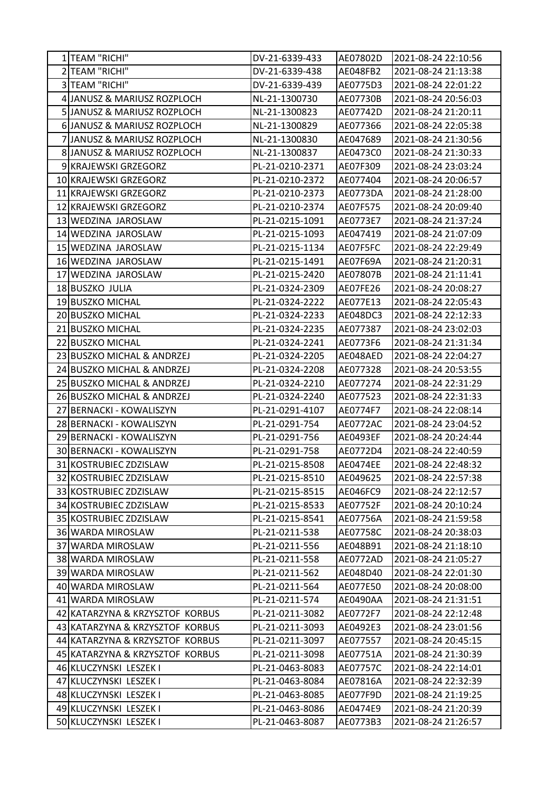| 1 TEAM "RICHI"                         | DV-21-6339-433                   | AE07802D             | 2021-08-24 22:10:56                        |
|----------------------------------------|----------------------------------|----------------------|--------------------------------------------|
| 2 TEAM "RICHI"                         | DV-21-6339-438                   | AE048FB2             | 2021-08-24 21:13:38                        |
| 3 TEAM "RICHI"                         | DV-21-6339-439                   | AE0775D3             | 2021-08-24 22:01:22                        |
| 4 JANUSZ & MARIUSZ ROZPLOCH            | NL-21-1300730                    | AE07730B             | 2021-08-24 20:56:03                        |
| 5 JANUSZ & MARIUSZ ROZPLOCH            | NL-21-1300823                    | AE07742D             | 2021-08-24 21:20:11                        |
| 6 JANUSZ & MARIUSZ ROZPLOCH            | NL-21-1300829                    | AE077366             | 2021-08-24 22:05:38                        |
| 7 JANUSZ & MARIUSZ ROZPLOCH            | NL-21-1300830                    | AE047689             | 2021-08-24 21:30:56                        |
| 8 JANUSZ & MARIUSZ ROZPLOCH            | NL-21-1300837                    | AE0473C0             | 2021-08-24 21:30:33                        |
| 9 KRAJEWSKI GRZEGORZ                   | PL-21-0210-2371                  | AE07F309             | 2021-08-24 23:03:24                        |
| 10 KRAJEWSKI GRZEGORZ                  | PL-21-0210-2372                  | AE077404             | 2021-08-24 20:06:57                        |
| 11 KRAJEWSKI GRZEGORZ                  | PL-21-0210-2373                  | AE0773DA             | 2021-08-24 21:28:00                        |
| 12 KRAJEWSKI GRZEGORZ                  | PL-21-0210-2374                  | AE07F575             | 2021-08-24 20:09:40                        |
| 13 WEDZINA JAROSLAW                    | PL-21-0215-1091                  | AE0773E7             | 2021-08-24 21:37:24                        |
| 14 WEDZINA JAROSLAW                    | PL-21-0215-1093                  | AE047419             | 2021-08-24 21:07:09                        |
| 15 WEDZINA JAROSLAW                    | PL-21-0215-1134                  | AE07F5FC             | 2021-08-24 22:29:49                        |
| 16 WEDZINA JAROSLAW                    | PL-21-0215-1491                  | AE07F69A             | 2021-08-24 21:20:31                        |
| 17 WEDZINA JAROSLAW                    | PL-21-0215-2420                  | AE07807B             | 2021-08-24 21:11:41                        |
| 18 BUSZKO JULIA                        | PL-21-0324-2309                  | AE07FE26             | 2021-08-24 20:08:27                        |
| 19 BUSZKO MICHAL                       | PL-21-0324-2222                  | AE077E13             | 2021-08-24 22:05:43                        |
| 20 BUSZKO MICHAL                       | PL-21-0324-2233                  | AE048DC3             | 2021-08-24 22:12:33                        |
| 21 BUSZKO MICHAL                       | PL-21-0324-2235                  | AE077387             | 2021-08-24 23:02:03                        |
| 22 BUSZKO MICHAL                       | PL-21-0324-2241                  | AE0773F6             | 2021-08-24 21:31:34                        |
| 23 BUSZKO MICHAL & ANDRZEJ             | PL-21-0324-2205                  | AE048AED             | 2021-08-24 22:04:27                        |
| 24 BUSZKO MICHAL & ANDRZEJ             | PL-21-0324-2208                  | AE077328             | 2021-08-24 20:53:55                        |
| 25 BUSZKO MICHAL & ANDRZEJ             | PL-21-0324-2210                  | AE077274             | 2021-08-24 22:31:29                        |
| 26 BUSZKO MICHAL & ANDRZEJ             | PL-21-0324-2240                  | AE077523             | 2021-08-24 22:31:33                        |
| 27 BERNACKI - KOWALISZYN               | PL-21-0291-4107                  | AE0774F7             | 2021-08-24 22:08:14                        |
| 28 BERNACKI - KOWALISZYN               | PL-21-0291-754                   | AE0772AC             | 2021-08-24 23:04:52                        |
| 29 BERNACKI - KOWALISZYN               | PL-21-0291-756                   | AE0493EF             | 2021-08-24 20:24:44                        |
| 30 BERNACKI - KOWALISZYN               | PL-21-0291-758                   | AE0772D4             | 2021-08-24 22:40:59                        |
| 31 KOSTRUBIEC ZDZISLAW                 | PL-21-0215-8508                  | <b>AE0474EE</b>      | 2021-08-24 22:48:32                        |
| 32 KOSTRUBIEC ZDZISLAW                 | PL-21-0215-8510                  | AE049625             | 2021-08-24 22:57:38                        |
| 33 KOSTRUBIEC ZDZISLAW                 | PL-21-0215-8515                  | AE046FC9             | 2021-08-24 22:12:57                        |
| 34 KOSTRUBIEC ZDZISLAW                 | PL-21-0215-8533                  | AE07752F             | 2021-08-24 20:10:24                        |
| 35 KOSTRUBIEC ZDZISLAW                 | PL-21-0215-8541                  | AE07756A             | 2021-08-24 21:59:58                        |
| 36 WARDA MIROSLAW                      | PL-21-0211-538                   | AE07758C             | 2021-08-24 20:38:03                        |
| 37 WARDA MIROSLAW                      | PL-21-0211-556                   | AE048B91             | 2021-08-24 21:18:10                        |
| 38 WARDA MIROSLAW<br>39 WARDA MIROSLAW | PL-21-0211-558<br>PL-21-0211-562 | AE0772AD<br>AE048D40 | 2021-08-24 21:05:27<br>2021-08-24 22:01:30 |
| 40 WARDA MIROSLAW                      | PL-21-0211-564                   | AE077E50             | 2021-08-24 20:08:00                        |
| 41 WARDA MIROSLAW                      | PL-21-0211-574                   | AE0490AA             | 2021-08-24 21:31:51                        |
| 42 KATARZYNA & KRZYSZTOF KORBUS        | PL-21-0211-3082                  | AE0772F7             | 2021-08-24 22:12:48                        |
| 43 KATARZYNA & KRZYSZTOF KORBUS        | PL-21-0211-3093                  | AE0492E3             | 2021-08-24 23:01:56                        |
| 44 KATARZYNA & KRZYSZTOF KORBUS        | PL-21-0211-3097                  | AE077557             | 2021-08-24 20:45:15                        |
| 45 KATARZYNA & KRZYSZTOF KORBUS        | PL-21-0211-3098                  | AE07751A             | 2021-08-24 21:30:39                        |
| 46 KLUCZYNSKI LESZEK I                 | PL-21-0463-8083                  | AE07757C             | 2021-08-24 22:14:01                        |
| 47 KLUCZYNSKI LESZEK I                 | PL-21-0463-8084                  | AE07816A             | 2021-08-24 22:32:39                        |
| 48 KLUCZYNSKI LESZEK I                 | PL-21-0463-8085                  | AE077F9D             | 2021-08-24 21:19:25                        |
| 49 KLUCZYNSKI LESZEK I                 | PL-21-0463-8086                  | AE0474E9             | 2021-08-24 21:20:39                        |
| 50 KLUCZYNSKI LESZEK I                 | PL-21-0463-8087                  | AE0773B3             | 2021-08-24 21:26:57                        |
|                                        |                                  |                      |                                            |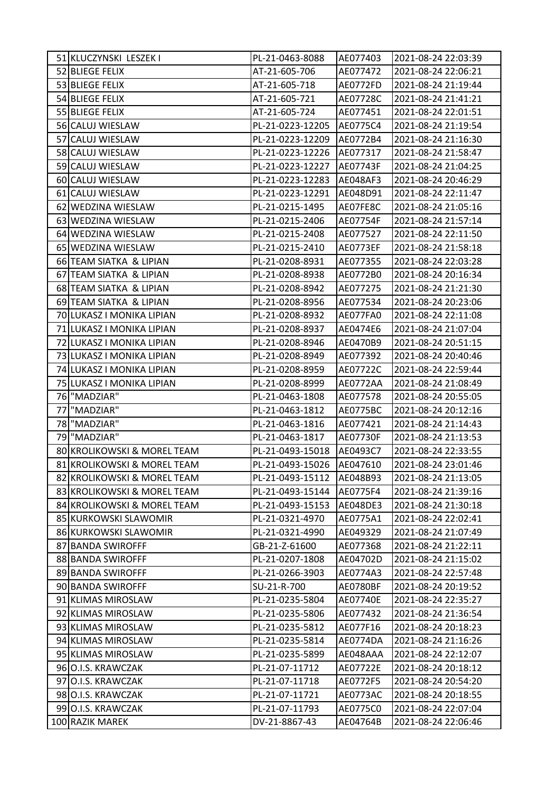| 51 KLUCZYNSKI LESZEK I      | PL-21-0463-8088  | AE077403        | 2021-08-24 22:03:39 |
|-----------------------------|------------------|-----------------|---------------------|
| 52 BLIEGE FELIX             | AT-21-605-706    | AE077472        | 2021-08-24 22:06:21 |
| 53 BLIEGE FELIX             | AT-21-605-718    | AE0772FD        | 2021-08-24 21:19:44 |
| 54 BLIEGE FELIX             | AT-21-605-721    | AE07728C        | 2021-08-24 21:41:21 |
| 55 BLIEGE FELIX             | AT-21-605-724    | AE077451        | 2021-08-24 22:01:51 |
| 56 CALUJ WIESLAW            | PL-21-0223-12205 | AE0775C4        | 2021-08-24 21:19:54 |
| 57 CALUJ WIESLAW            | PL-21-0223-12209 | AE0772B4        | 2021-08-24 21:16:30 |
| 58 CALUJ WIESLAW            | PL-21-0223-12226 | AE077317        | 2021-08-24 21:58:47 |
| 59 CALUJ WIESLAW            | PL-21-0223-12227 | AE07743F        | 2021-08-24 21:04:25 |
| 60 CALUJ WIESLAW            | PL-21-0223-12283 | AE048AF3        | 2021-08-24 20:46:29 |
| 61 CALUJ WIESLAW            | PL-21-0223-12291 | AE048D91        | 2021-08-24 22:11:47 |
| 62 WEDZINA WIESLAW          | PL-21-0215-1495  | AE07FE8C        | 2021-08-24 21:05:16 |
| 63 WEDZINA WIESLAW          | PL-21-0215-2406  | AE07754F        | 2021-08-24 21:57:14 |
| 64 WEDZINA WIESLAW          | PL-21-0215-2408  | AE077527        | 2021-08-24 22:11:50 |
| 65 WEDZINA WIESLAW          | PL-21-0215-2410  | AE0773EF        | 2021-08-24 21:58:18 |
| 66 TEAM SIATKA & LIPIAN     | PL-21-0208-8931  | AE077355        | 2021-08-24 22:03:28 |
| 67 TEAM SIATKA & LIPIAN     | PL-21-0208-8938  | AE0772B0        | 2021-08-24 20:16:34 |
| 68 TEAM SIATKA & LIPIAN     | PL-21-0208-8942  | AE077275        | 2021-08-24 21:21:30 |
| 69 TEAM SIATKA & LIPIAN     | PL-21-0208-8956  | AE077534        | 2021-08-24 20:23:06 |
| 70 LUKASZ I MONIKA LIPIAN   | PL-21-0208-8932  | AE077FA0        | 2021-08-24 22:11:08 |
| 71 LUKASZ I MONIKA LIPIAN   | PL-21-0208-8937  | AE0474E6        | 2021-08-24 21:07:04 |
| 72 LUKASZ I MONIKA LIPIAN   | PL-21-0208-8946  | AE0470B9        | 2021-08-24 20:51:15 |
| 73 LUKASZ I MONIKA LIPIAN   | PL-21-0208-8949  | AE077392        | 2021-08-24 20:40:46 |
| 74 LUKASZ I MONIKA LIPIAN   | PL-21-0208-8959  | AE07722C        | 2021-08-24 22:59:44 |
| 75 LUKASZ I MONIKA LIPIAN   | PL-21-0208-8999  | AE0772AA        | 2021-08-24 21:08:49 |
| 76 "MADZIAR"                | PL-21-0463-1808  | AE077578        | 2021-08-24 20:55:05 |
| 77<br>"MADZIAR"             | PL-21-0463-1812  | <b>AE0775BC</b> | 2021-08-24 20:12:16 |
| 78 "MADZIAR"                | PL-21-0463-1816  | AE077421        | 2021-08-24 21:14:43 |
| 79 MADZIAR"                 | PL-21-0463-1817  | AE07730F        | 2021-08-24 21:13:53 |
| 80 KROLIKOWSKI & MOREL TEAM | PL-21-0493-15018 | AE0493C7        | 2021-08-24 22:33:55 |
| 81 KROLIKOWSKI & MOREL TEAM | PL-21-0493-15026 | AE047610        | 2021-08-24 23:01:46 |
| 82 KROLIKOWSKI & MOREL TEAM | PL-21-0493-15112 | AE048B93        | 2021-08-24 21:13:05 |
| 83 KROLIKOWSKI & MOREL TEAM | PL-21-0493-15144 | AE0775F4        | 2021-08-24 21:39:16 |
| 84 KROLIKOWSKI & MOREL TEAM | PL-21-0493-15153 | AE048DE3        | 2021-08-24 21:30:18 |
| 85 KURKOWSKI SLAWOMIR       | PL-21-0321-4970  | AE0775A1        | 2021-08-24 22:02:41 |
| 86 KURKOWSKI SLAWOMIR       | PL-21-0321-4990  | AE049329        | 2021-08-24 21:07:49 |
| 87 BANDA SWIROFFF           | GB-21-Z-61600    | AE077368        | 2021-08-24 21:22:11 |
| 88 BANDA SWIROFFF           | PL-21-0207-1808  | AE04702D        | 2021-08-24 21:15:02 |
| 89 BANDA SWIROFFF           | PL-21-0266-3903  | AE0774A3        | 2021-08-24 22:57:48 |
| 90 BANDA SWIROFFF           | SU-21-R-700      | AE0780BF        | 2021-08-24 20:19:52 |
| 91 KLIMAS MIROSLAW          | PL-21-0235-5804  | AE07740E        | 2021-08-24 22:35:27 |
| 92 KLIMAS MIROSLAW          | PL-21-0235-5806  | AE077432        | 2021-08-24 21:36:54 |
| 93 KLIMAS MIROSLAW          | PL-21-0235-5812  | AE077F16        | 2021-08-24 20:18:23 |
| 94 KLIMAS MIROSLAW          | PL-21-0235-5814  | AE0774DA        | 2021-08-24 21:16:26 |
| 95 KLIMAS MIROSLAW          | PL-21-0235-5899  | AE048AAA        | 2021-08-24 22:12:07 |
| 96 O.I.S. KRAWCZAK          | PL-21-07-11712   | AE07722E        | 2021-08-24 20:18:12 |
| 97 O.I.S. KRAWCZAK          | PL-21-07-11718   | AE0772F5        | 2021-08-24 20:54:20 |
| 98 O.I.S. KRAWCZAK          | PL-21-07-11721   | AE0773AC        | 2021-08-24 20:18:55 |
| 99 O.I.S. KRAWCZAK          | PL-21-07-11793   | AE0775C0        | 2021-08-24 22:07:04 |
| 100 RAZIK MAREK             | DV-21-8867-43    | AE04764B        | 2021-08-24 22:06:46 |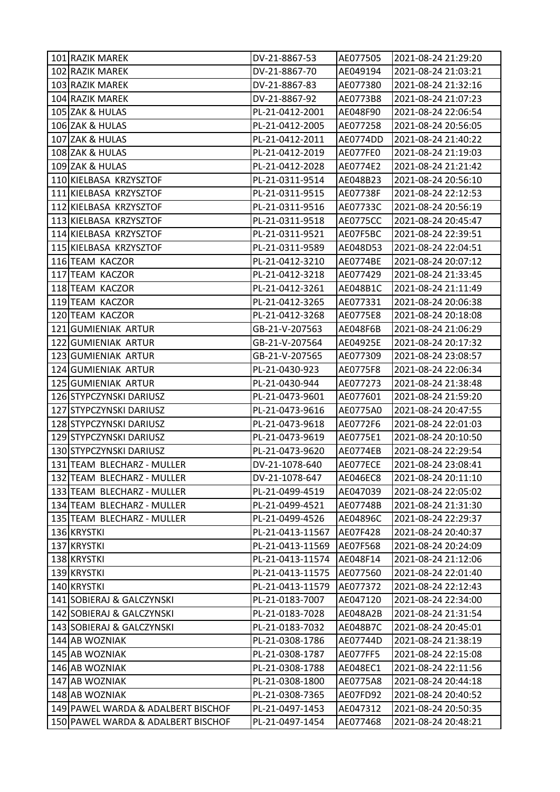| 101 RAZIK MAREK                    | DV-21-8867-53    | AE077505        | 2021-08-24 21:29:20 |
|------------------------------------|------------------|-----------------|---------------------|
| 102 RAZIK MAREK                    | DV-21-8867-70    | AE049194        | 2021-08-24 21:03:21 |
| 103 RAZIK MAREK                    | DV-21-8867-83    | AE077380        | 2021-08-24 21:32:16 |
| 104 RAZIK MAREK                    | DV-21-8867-92    | AE0773B8        | 2021-08-24 21:07:23 |
| 105 ZAK & HULAS                    | PL-21-0412-2001  | AE048F90        | 2021-08-24 22:06:54 |
| 106 ZAK & HULAS                    | PL-21-0412-2005  | AE077258        | 2021-08-24 20:56:05 |
| 107 ZAK & HULAS                    | PL-21-0412-2011  | AE0774DD        | 2021-08-24 21:40:22 |
| 108 ZAK & HULAS                    | PL-21-0412-2019  | AE077FE0        | 2021-08-24 21:19:03 |
| 109 ZAK & HULAS                    | PL-21-0412-2028  | AE0774E2        | 2021-08-24 21:21:42 |
| 110 KIELBASA KRZYSZTOF             | PL-21-0311-9514  | AE048B23        | 2021-08-24 20:56:10 |
| 111 KIELBASA KRZYSZTOF             | PL-21-0311-9515  | AE07738F        | 2021-08-24 22:12:53 |
| 112 KIELBASA KRZYSZTOF             | PL-21-0311-9516  | AE07733C        | 2021-08-24 20:56:19 |
| 113 KIELBASA KRZYSZTOF             | PL-21-0311-9518  | AE0775CC        | 2021-08-24 20:45:47 |
| 114 KIELBASA KRZYSZTOF             | PL-21-0311-9521  | AE07F5BC        | 2021-08-24 22:39:51 |
| 115 KIELBASA KRZYSZTOF             | PL-21-0311-9589  | AE048D53        | 2021-08-24 22:04:51 |
| 116 TEAM KACZOR                    | PL-21-0412-3210  | AE0774BE        | 2021-08-24 20:07:12 |
| 117 TEAM KACZOR                    | PL-21-0412-3218  | AE077429        | 2021-08-24 21:33:45 |
| 118 TEAM KACZOR                    | PL-21-0412-3261  | AE048B1C        | 2021-08-24 21:11:49 |
| 119 TEAM KACZOR                    | PL-21-0412-3265  | AE077331        | 2021-08-24 20:06:38 |
| 120 TEAM KACZOR                    | PL-21-0412-3268  | AE0775E8        | 2021-08-24 20:18:08 |
| 121 GUMIENIAK ARTUR                | GB-21-V-207563   | AE048F6B        | 2021-08-24 21:06:29 |
| 122 GUMIENIAK ARTUR                | GB-21-V-207564   | AE04925E        | 2021-08-24 20:17:32 |
| 123 GUMIENIAK ARTUR                | GB-21-V-207565   | AE077309        | 2021-08-24 23:08:57 |
| 124 GUMIENIAK ARTUR                | PL-21-0430-923   | AE0775F8        | 2021-08-24 22:06:34 |
| 125 GUMIENIAK ARTUR                | PL-21-0430-944   | AE077273        | 2021-08-24 21:38:48 |
| 126 STYPCZYNSKI DARIUSZ            | PL-21-0473-9601  | AE077601        | 2021-08-24 21:59:20 |
| 127 STYPCZYNSKI DARIUSZ            | PL-21-0473-9616  | AE0775A0        | 2021-08-24 20:47:55 |
| 128 STYPCZYNSKI DARIUSZ            | PL-21-0473-9618  | AE0772F6        | 2021-08-24 22:01:03 |
| 129 STYPCZYNSKI DARIUSZ            | PL-21-0473-9619  | AE0775E1        | 2021-08-24 20:10:50 |
| 130 STYPCZYNSKI DARIUSZ            | PL-21-0473-9620  | AE0774EB        | 2021-08-24 22:29:54 |
| 131 TEAM BLECHARZ - MULLER         | DV-21-1078-640   | AE077ECE        | 2021-08-24 23:08:41 |
| 132 TEAM BLECHARZ - MULLER         | DV-21-1078-647   | <b>AE046EC8</b> | 2021-08-24 20:11:10 |
| 133 TEAM BLECHARZ - MULLER         | PL-21-0499-4519  | AE047039        | 2021-08-24 22:05:02 |
| 134 TEAM BLECHARZ - MULLER         | PL-21-0499-4521  | AE07748B        | 2021-08-24 21:31:30 |
| 135 TEAM BLECHARZ - MULLER         | PL-21-0499-4526  | AE04896C        | 2021-08-24 22:29:37 |
| 136 KRYSTKI                        | PL-21-0413-11567 | AE07F428        | 2021-08-24 20:40:37 |
| 137 KRYSTKI                        | PL-21-0413-11569 | AE07F568        | 2021-08-24 20:24:09 |
| 138 KRYSTKI                        | PL-21-0413-11574 | AE048F14        | 2021-08-24 21:12:06 |
| 139 KRYSTKI                        | PL-21-0413-11575 | AE077560        | 2021-08-24 22:01:40 |
| 140 KRYSTKI                        | PL-21-0413-11579 | AE077372        | 2021-08-24 22:12:43 |
| 141 SOBIERAJ & GALCZYNSKI          | PL-21-0183-7007  | AE047120        | 2021-08-24 22:34:00 |
| 142 SOBIERAJ & GALCZYNSKI          | PL-21-0183-7028  | AE048A2B        | 2021-08-24 21:31:54 |
| 143 SOBIERAJ & GALCZYNSKI          | PL-21-0183-7032  | AE048B7C        | 2021-08-24 20:45:01 |
| 144 AB WOZNIAK                     | PL-21-0308-1786  | AE07744D        | 2021-08-24 21:38:19 |
| 145 AB WOZNIAK                     | PL-21-0308-1787  | AE077FF5        | 2021-08-24 22:15:08 |
| 146 AB WOZNIAK                     | PL-21-0308-1788  | AE048EC1        | 2021-08-24 22:11:56 |
| 147 AB WOZNIAK                     | PL-21-0308-1800  | AE0775A8        | 2021-08-24 20:44:18 |
| 148 AB WOZNIAK                     | PL-21-0308-7365  | AE07FD92        | 2021-08-24 20:40:52 |
| 149 PAWEL WARDA & ADALBERT BISCHOF | PL-21-0497-1453  | AE047312        | 2021-08-24 20:50:35 |
| 150 PAWEL WARDA & ADALBERT BISCHOF | PL-21-0497-1454  | AE077468        | 2021-08-24 20:48:21 |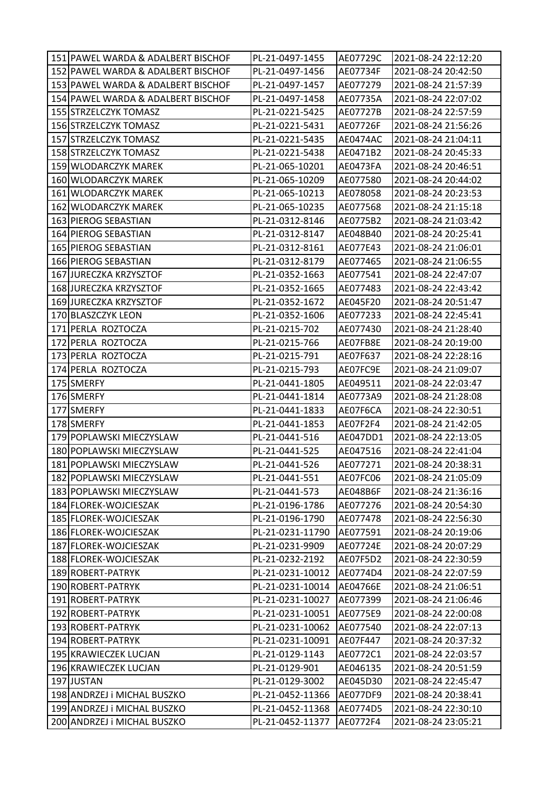| 151 PAWEL WARDA & ADALBERT BISCHOF | PL-21-0497-1455  | AE07729C | 2021-08-24 22:12:20 |
|------------------------------------|------------------|----------|---------------------|
| 152 PAWEL WARDA & ADALBERT BISCHOF | PL-21-0497-1456  | AE07734F | 2021-08-24 20:42:50 |
| 153 PAWEL WARDA & ADALBERT BISCHOF | PL-21-0497-1457  | AE077279 | 2021-08-24 21:57:39 |
| 154 PAWEL WARDA & ADALBERT BISCHOF | PL-21-0497-1458  | AE07735A | 2021-08-24 22:07:02 |
| 155 STRZELCZYK TOMASZ              | PL-21-0221-5425  | AE07727B | 2021-08-24 22:57:59 |
| 156 STRZELCZYK TOMASZ              | PL-21-0221-5431  | AE07726F | 2021-08-24 21:56:26 |
| 157 STRZELCZYK TOMASZ              | PL-21-0221-5435  | AE0474AC | 2021-08-24 21:04:11 |
| 158 STRZELCZYK TOMASZ              | PL-21-0221-5438  | AE0471B2 | 2021-08-24 20:45:33 |
| 159 WLODARCZYK MAREK               | PL-21-065-10201  | AE0473FA | 2021-08-24 20:46:51 |
| 160 WLODARCZYK MAREK               | PL-21-065-10209  | AE077580 | 2021-08-24 20:44:02 |
| 161 WLODARCZYK MAREK               | PL-21-065-10213  | AE078058 | 2021-08-24 20:23:53 |
| 162 WLODARCZYK MAREK               | PL-21-065-10235  | AE077568 | 2021-08-24 21:15:18 |
| 163 PIEROG SEBASTIAN               | PL-21-0312-8146  | AE0775B2 | 2021-08-24 21:03:42 |
| 164 PIEROG SEBASTIAN               | PL-21-0312-8147  | AE048B40 | 2021-08-24 20:25:41 |
| 165 PIEROG SEBASTIAN               | PL-21-0312-8161  | AE077E43 | 2021-08-24 21:06:01 |
| 166 PIEROG SEBASTIAN               | PL-21-0312-8179  | AE077465 | 2021-08-24 21:06:55 |
| 167 JURECZKA KRZYSZTOF             | PL-21-0352-1663  | AE077541 | 2021-08-24 22:47:07 |
| 168 JURECZKA KRZYSZTOF             | PL-21-0352-1665  | AE077483 | 2021-08-24 22:43:42 |
| 169 JURECZKA KRZYSZTOF             | PL-21-0352-1672  | AE045F20 | 2021-08-24 20:51:47 |
| 170 BLASZCZYK LEON                 | PL-21-0352-1606  | AE077233 | 2021-08-24 22:45:41 |
| 171 PERLA ROZTOCZA                 | PL-21-0215-702   | AE077430 | 2021-08-24 21:28:40 |
| 172 PERLA ROZTOCZA                 | PL-21-0215-766   | AE07FB8E | 2021-08-24 20:19:00 |
| 173 PERLA ROZTOCZA                 | PL-21-0215-791   | AE07F637 | 2021-08-24 22:28:16 |
| 174 PERLA ROZTOCZA                 | PL-21-0215-793   | AE07FC9E | 2021-08-24 21:09:07 |
| 175 SMERFY                         | PL-21-0441-1805  | AE049511 | 2021-08-24 22:03:47 |
| 176 SMERFY                         | PL-21-0441-1814  | AE0773A9 | 2021-08-24 21:28:08 |
| 177 SMERFY                         | PL-21-0441-1833  | AE07F6CA | 2021-08-24 22:30:51 |
| 178 SMERFY                         | PL-21-0441-1853  | AE07F2F4 | 2021-08-24 21:42:05 |
| 179 POPLAWSKI MIECZYSLAW           | PL-21-0441-516   | AE047DD1 | 2021-08-24 22:13:05 |
| 180 POPLAWSKI MIECZYSLAW           | PL-21-0441-525   | AE047516 | 2021-08-24 22:41:04 |
| 181 POPLAWSKI MIECZYSLAW           | PL-21-0441-526   | AE077271 | 2021-08-24 20:38:31 |
| 182 POPLAWSKI MIECZYSLAW           | PL-21-0441-551   | AE07FC06 | 2021-08-24 21:05:09 |
| 183 POPLAWSKI MIECZYSLAW           | PL-21-0441-573   | AE048B6F | 2021-08-24 21:36:16 |
| 184 FLOREK-WOJCIESZAK              | PL-21-0196-1786  | AE077276 | 2021-08-24 20:54:30 |
| 185 FLOREK-WOJCIESZAK              | PL-21-0196-1790  | AE077478 | 2021-08-24 22:56:30 |
| 186 FLOREK-WOJCIESZAK              | PL-21-0231-11790 | AE077591 | 2021-08-24 20:19:06 |
| 187 FLOREK-WOJCIESZAK              | PL-21-0231-9909  | AE07724E | 2021-08-24 20:07:29 |
| 188 FLOREK-WOJCIESZAK              | PL-21-0232-2192  | AE07F5D2 | 2021-08-24 22:30:59 |
| 189 ROBERT-PATRYK                  | PL-21-0231-10012 | AE0774D4 | 2021-08-24 22:07:59 |
| 190 ROBERT-PATRYK                  | PL-21-0231-10014 | AE04766E | 2021-08-24 21:06:51 |
| 191 ROBERT-PATRYK                  | PL-21-0231-10027 | AE077399 | 2021-08-24 21:06:46 |
| 192 ROBERT-PATRYK                  | PL-21-0231-10051 | AE0775E9 | 2021-08-24 22:00:08 |
| 193 ROBERT-PATRYK                  | PL-21-0231-10062 | AE077540 | 2021-08-24 22:07:13 |
| 194 ROBERT-PATRYK                  | PL-21-0231-10091 | AE07F447 | 2021-08-24 20:37:32 |
| 195 KRAWIECZEK LUCJAN              | PL-21-0129-1143  | AE0772C1 | 2021-08-24 22:03:57 |
| 196 KRAWIECZEK LUCJAN              | PL-21-0129-901   | AE046135 | 2021-08-24 20:51:59 |
| 197 JUSTAN                         | PL-21-0129-3002  | AE045D30 | 2021-08-24 22:45:47 |
| 198 ANDRZEJ i MICHAL BUSZKO        | PL-21-0452-11366 | AE077DF9 | 2021-08-24 20:38:41 |
| 199 ANDRZEJ i MICHAL BUSZKO        | PL-21-0452-11368 | AE0774D5 | 2021-08-24 22:30:10 |
| 200 ANDRZEJ i MICHAL BUSZKO        | PL-21-0452-11377 | AE0772F4 | 2021-08-24 23:05:21 |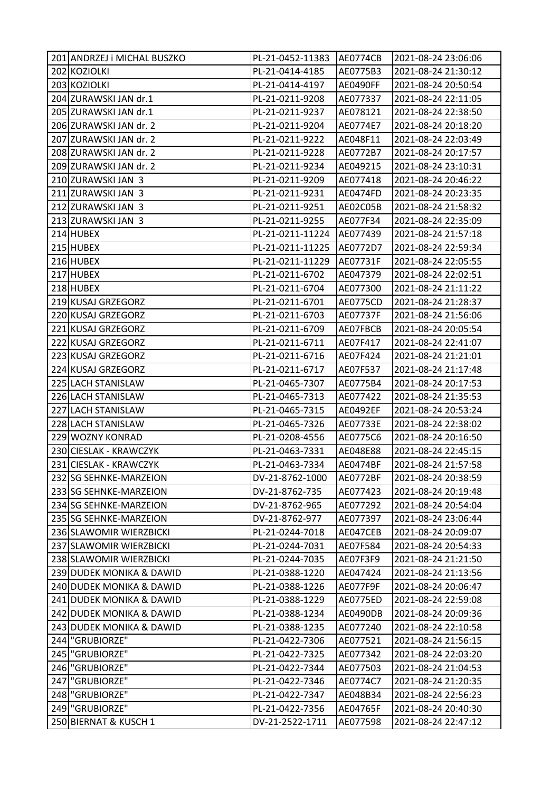|     | 201 ANDRZEJ i MICHAL BUSZKO | PL-21-0452-11383 | AE0774CB        | 2021-08-24 23:06:06 |
|-----|-----------------------------|------------------|-----------------|---------------------|
|     | 202 KOZIOLKI                | PL-21-0414-4185  | AE0775B3        | 2021-08-24 21:30:12 |
|     | 203 KOZIOLKI                | PL-21-0414-4197  | <b>AE0490FF</b> | 2021-08-24 20:50:54 |
|     | 204 ZURAWSKI JAN dr.1       | PL-21-0211-9208  | AE077337        | 2021-08-24 22:11:05 |
|     | 205 ZURAWSKI JAN dr.1       | PL-21-0211-9237  | AE078121        | 2021-08-24 22:38:50 |
|     | 206 ZURAWSKI JAN dr. 2      | PL-21-0211-9204  | AE0774E7        | 2021-08-24 20:18:20 |
|     | 207 ZURAWSKI JAN dr. 2      | PL-21-0211-9222  | AE048F11        | 2021-08-24 22:03:49 |
|     | 208 ZURAWSKI JAN dr. 2      | PL-21-0211-9228  | AE0772B7        | 2021-08-24 20:17:57 |
|     | 209 ZURAWSKI JAN dr. 2      | PL-21-0211-9234  | AE049215        | 2021-08-24 23:10:31 |
|     | 210 ZURAWSKI JAN 3          | PL-21-0211-9209  | AE077418        | 2021-08-24 20:46:22 |
|     | 211 ZURAWSKI JAN 3          | PL-21-0211-9231  | AE0474FD        | 2021-08-24 20:23:35 |
|     | 212 ZURAWSKI JAN 3          | PL-21-0211-9251  | AE02C05B        | 2021-08-24 21:58:32 |
|     | 213 ZURAWSKI JAN 3          | PL-21-0211-9255  | AE077F34        | 2021-08-24 22:35:09 |
|     | 214 HUBEX                   | PL-21-0211-11224 | AE077439        | 2021-08-24 21:57:18 |
|     | 215 HUBEX                   | PL-21-0211-11225 | AE0772D7        | 2021-08-24 22:59:34 |
|     | 216 HUBEX                   | PL-21-0211-11229 | AE07731F        | 2021-08-24 22:05:55 |
|     | 217 HUBEX                   | PL-21-0211-6702  | AE047379        | 2021-08-24 22:02:51 |
|     | 218 HUBEX                   | PL-21-0211-6704  | AE077300        | 2021-08-24 21:11:22 |
|     | 219 KUSAJ GRZEGORZ          | PL-21-0211-6701  | AE0775CD        | 2021-08-24 21:28:37 |
|     | 220 KUSAJ GRZEGORZ          | PL-21-0211-6703  | AE07737F        | 2021-08-24 21:56:06 |
|     | 221 KUSAJ GRZEGORZ          | PL-21-0211-6709  | AE07FBCB        | 2021-08-24 20:05:54 |
|     | 222 KUSAJ GRZEGORZ          | PL-21-0211-6711  | AE07F417        | 2021-08-24 22:41:07 |
|     | 223 KUSAJ GRZEGORZ          | PL-21-0211-6716  | AE07F424        | 2021-08-24 21:21:01 |
|     | 224 KUSAJ GRZEGORZ          | PL-21-0211-6717  | AE07F537        | 2021-08-24 21:17:48 |
|     | 225 LACH STANISLAW          | PL-21-0465-7307  | AE0775B4        | 2021-08-24 20:17:53 |
|     | 226 LACH STANISLAW          | PL-21-0465-7313  | AE077422        | 2021-08-24 21:35:53 |
|     | 227 LACH STANISLAW          | PL-21-0465-7315  | AE0492EF        | 2021-08-24 20:53:24 |
|     | 228 LACH STANISLAW          | PL-21-0465-7326  | AE07733E        | 2021-08-24 22:38:02 |
|     | 229 WOZNY KONRAD            | PL-21-0208-4556  | AE0775C6        | 2021-08-24 20:16:50 |
|     | 230 CIESLAK - KRAWCZYK      | PL-21-0463-7331  | AE048E88        | 2021-08-24 22:45:15 |
|     | 231 CIESLAK - KRAWCZYK      | PL-21-0463-7334  | AE0474BF        | 2021-08-24 21:57:58 |
|     | 232 SG SEHNKE-MARZEION      | DV-21-8762-1000  | <b>AE0772BF</b> | 2021-08-24 20:38:59 |
|     | 233 SG SEHNKE-MARZEION      | DV-21-8762-735   | AE077423        | 2021-08-24 20:19:48 |
|     | 234 SG SEHNKE-MARZEION      | DV-21-8762-965   | AE077292        | 2021-08-24 20:54:04 |
|     | 235 SG SEHNKE-MARZEION      | DV-21-8762-977   | AE077397        | 2021-08-24 23:06:44 |
|     | 236 SLAWOMIR WIERZBICKI     | PL-21-0244-7018  | AE047CEB        | 2021-08-24 20:09:07 |
|     | 237 SLAWOMIR WIERZBICKI     | PL-21-0244-7031  | AE07F584        | 2021-08-24 20:54:33 |
|     | 238 SLAWOMIR WIERZBICKI     | PL-21-0244-7035  | AE07F3F9        | 2021-08-24 21:21:50 |
|     | 239 DUDEK MONIKA & DAWID    | PL-21-0388-1220  | AE047424        | 2021-08-24 21:13:56 |
|     | 240 DUDEK MONIKA & DAWID    | PL-21-0388-1226  | AE077F9F        | 2021-08-24 20:06:47 |
|     | 241 DUDEK MONIKA & DAWID    | PL-21-0388-1229  | AE0775ED        | 2021-08-24 22:59:08 |
|     | 242 DUDEK MONIKA & DAWID    | PL-21-0388-1234  | AE0490DB        | 2021-08-24 20:09:36 |
|     | 243 DUDEK MONIKA & DAWID    | PL-21-0388-1235  | AE077240        | 2021-08-24 22:10:58 |
|     | 244   "GRUBIORZE"           | PL-21-0422-7306  | AE077521        | 2021-08-24 21:56:15 |
|     | 245   "GRUBIORZE"           | PL-21-0422-7325  | AE077342        | 2021-08-24 22:03:20 |
|     | 246   "GRUBIORZE"           | PL-21-0422-7344  | AE077503        | 2021-08-24 21:04:53 |
| 247 | "GRUBIORZE"                 | PL-21-0422-7346  | AE0774C7        | 2021-08-24 21:20:35 |
|     | 248   "GRUBIORZE"           | PL-21-0422-7347  | AE048B34        | 2021-08-24 22:56:23 |
|     | 249   "GRUBIORZE"           | PL-21-0422-7356  | AE04765F        | 2021-08-24 20:40:30 |
|     | 250 BIERNAT & KUSCH 1       | DV-21-2522-1711  | AE077598        | 2021-08-24 22:47:12 |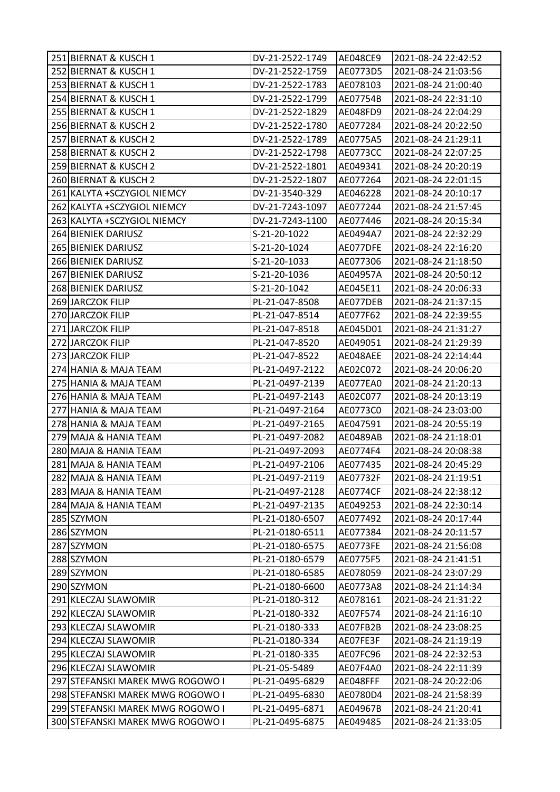| 251 BIERNAT & KUSCH 1            | DV-21-2522-1749 | AE048CE9        | 2021-08-24 22:42:52 |
|----------------------------------|-----------------|-----------------|---------------------|
| 252 BIERNAT & KUSCH 1            | DV-21-2522-1759 | AE0773D5        | 2021-08-24 21:03:56 |
| 253 BIERNAT & KUSCH 1            | DV-21-2522-1783 | AE078103        | 2021-08-24 21:00:40 |
| 254 BIERNAT & KUSCH 1            | DV-21-2522-1799 | AE07754B        | 2021-08-24 22:31:10 |
| 255 BIERNAT & KUSCH 1            | DV-21-2522-1829 | AE048FD9        | 2021-08-24 22:04:29 |
| 256 BIERNAT & KUSCH 2            | DV-21-2522-1780 | AE077284        | 2021-08-24 20:22:50 |
| 257 BIERNAT & KUSCH 2            | DV-21-2522-1789 | AE0775A5        | 2021-08-24 21:29:11 |
| 258 BIERNAT & KUSCH 2            | DV-21-2522-1798 | <b>AE0773CC</b> | 2021-08-24 22:07:25 |
| 259 BIERNAT & KUSCH 2            | DV-21-2522-1801 | AE049341        | 2021-08-24 20:20:19 |
| 260 BIERNAT & KUSCH 2            | DV-21-2522-1807 | AE077264        | 2021-08-24 22:01:15 |
| 261 KALYTA + SCZYGIOL NIEMCY     | DV-21-3540-329  | AE046228        | 2021-08-24 20:10:17 |
| 262 KALYTA +SCZYGIOL NIEMCY      | DV-21-7243-1097 | AE077244        | 2021-08-24 21:57:45 |
| 263 KALYTA + SCZYGIOL NIEMCY     | DV-21-7243-1100 | AE077446        | 2021-08-24 20:15:34 |
| 264 BIENIEK DARIUSZ              | S-21-20-1022    | AE0494A7        | 2021-08-24 22:32:29 |
| 265 BIENIEK DARIUSZ              | S-21-20-1024    | AE077DFE        | 2021-08-24 22:16:20 |
| 266 BIENIEK DARIUSZ              | S-21-20-1033    | AE077306        | 2021-08-24 21:18:50 |
| 267 BIENIEK DARIUSZ              | S-21-20-1036    | AE04957A        | 2021-08-24 20:50:12 |
| 268 BIENIEK DARIUSZ              | S-21-20-1042    | AE045E11        | 2021-08-24 20:06:33 |
| 269 JARCZOK FILIP                | PL-21-047-8508  | AE077DEB        | 2021-08-24 21:37:15 |
| 270 JARCZOK FILIP                | PL-21-047-8514  | AE077F62        | 2021-08-24 22:39:55 |
| 271 JARCZOK FILIP                | PL-21-047-8518  | AE045D01        | 2021-08-24 21:31:27 |
| 272 JARCZOK FILIP                | PL-21-047-8520  | AE049051        | 2021-08-24 21:29:39 |
| 273 JARCZOK FILIP                | PL-21-047-8522  | AE048AEE        | 2021-08-24 22:14:44 |
| 274 HANIA & MAJA TEAM            | PL-21-0497-2122 | AE02C072        | 2021-08-24 20:06:20 |
| 275 HANIA & MAJA TEAM            | PL-21-0497-2139 | AE077EA0        | 2021-08-24 21:20:13 |
| 276 HANIA & MAJA TEAM            | PL-21-0497-2143 | AE02C077        | 2021-08-24 20:13:19 |
| 277 HANIA & MAJA TEAM            | PL-21-0497-2164 | AE0773C0        | 2021-08-24 23:03:00 |
| 278 HANIA & MAJA TEAM            | PL-21-0497-2165 | AE047591        | 2021-08-24 20:55:19 |
| 279 MAJA & HANIA TEAM            | PL-21-0497-2082 | AE0489AB        | 2021-08-24 21:18:01 |
| 280 MAJA & HANIA TEAM            | PL-21-0497-2093 | AE0774F4        | 2021-08-24 20:08:38 |
| 281 MAJA & HANIA TEAM            | PL-21-0497-2106 | AE077435        | 2021-08-24 20:45:29 |
| 282 MAJA & HANIA TEAM            | PL-21-0497-2119 | AE07732F        | 2021-08-24 21:19:51 |
| 283 MAJA & HANIA TEAM            | PL-21-0497-2128 | <b>AE0774CF</b> | 2021-08-24 22:38:12 |
| 284 MAJA & HANIA TEAM            | PL-21-0497-2135 | AE049253        | 2021-08-24 22:30:14 |
| 285 SZYMON                       | PL-21-0180-6507 | AE077492        | 2021-08-24 20:17:44 |
| 286 SZYMON                       | PL-21-0180-6511 | AE077384        | 2021-08-24 20:11:57 |
| 287 SZYMON                       | PL-21-0180-6575 | <b>AE0773FE</b> | 2021-08-24 21:56:08 |
| 288 SZYMON                       | PL-21-0180-6579 | AE0775F5        | 2021-08-24 21:41:51 |
| 289 SZYMON                       | PL-21-0180-6585 | AE078059        | 2021-08-24 23:07:29 |
| 290 SZYMON                       | PL-21-0180-6600 | AE0773A8        | 2021-08-24 21:14:34 |
| 291 KLECZAJ SLAWOMIR             | PL-21-0180-312  | AE078161        | 2021-08-24 21:31:22 |
| 292 KLECZAJ SLAWOMIR             | PL-21-0180-332  | AE07F574        | 2021-08-24 21:16:10 |
| 293 KLECZAJ SLAWOMIR             | PL-21-0180-333  | AE07FB2B        | 2021-08-24 23:08:25 |
| 294 KLECZAJ SLAWOMIR             | PL-21-0180-334  | AE07FE3F        | 2021-08-24 21:19:19 |
| 295 KLECZAJ SLAWOMIR             | PL-21-0180-335  | AE07FC96        | 2021-08-24 22:32:53 |
| 296 KLECZAJ SLAWOMIR             | PL-21-05-5489   | AE07F4A0        | 2021-08-24 22:11:39 |
| 297 STEFANSKI MAREK MWG ROGOWO I | PL-21-0495-6829 | AE048FFF        | 2021-08-24 20:22:06 |
| 298 STEFANSKI MAREK MWG ROGOWO I | PL-21-0495-6830 | AE0780D4        | 2021-08-24 21:58:39 |
| 299 STEFANSKI MAREK MWG ROGOWO I | PL-21-0495-6871 | AE04967B        | 2021-08-24 21:20:41 |
| 300 STEFANSKI MAREK MWG ROGOWO I | PL-21-0495-6875 | AE049485        | 2021-08-24 21:33:05 |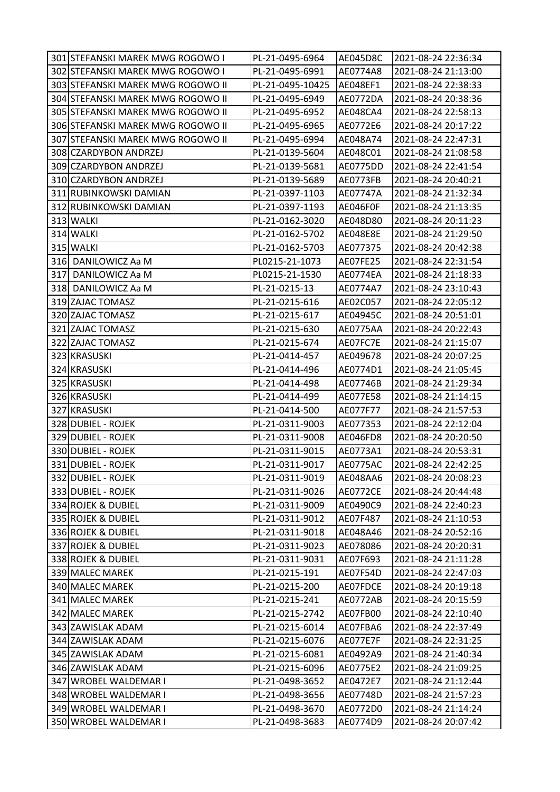| 301 STEFANSKI MAREK MWG ROGOWO I  | PL-21-0495-6964  | AE045D8C        | 2021-08-24 22:36:34 |
|-----------------------------------|------------------|-----------------|---------------------|
| 302 STEFANSKI MAREK MWG ROGOWO I  | PL-21-0495-6991  | AE0774A8        | 2021-08-24 21:13:00 |
| 303 STEFANSKI MAREK MWG ROGOWO II | PL-21-0495-10425 | AE048EF1        | 2021-08-24 22:38:33 |
| 304 STEFANSKI MAREK MWG ROGOWO II | PL-21-0495-6949  | AE0772DA        | 2021-08-24 20:38:36 |
| 305 STEFANSKI MAREK MWG ROGOWO II | PL-21-0495-6952  | AE048CA4        | 2021-08-24 22:58:13 |
| 306 STEFANSKI MAREK MWG ROGOWO II | PL-21-0495-6965  | AE0772E6        | 2021-08-24 20:17:22 |
| 307 STEFANSKI MAREK MWG ROGOWO II | PL-21-0495-6994  | AE048A74        | 2021-08-24 22:47:31 |
| 308 CZARDYBON ANDRZEJ             | PL-21-0139-5604  | AE048C01        | 2021-08-24 21:08:58 |
| 309 CZARDYBON ANDRZEJ             | PL-21-0139-5681  | AE0775DD        | 2021-08-24 22:41:54 |
| 310 CZARDYBON ANDRZEJ             | PL-21-0139-5689  | AE0773FB        | 2021-08-24 20:40:21 |
| 311 RUBINKOWSKI DAMIAN            | PL-21-0397-1103  | AE07747A        | 2021-08-24 21:32:34 |
| 312 RUBINKOWSKI DAMIAN            | PL-21-0397-1193  | AE046F0F        | 2021-08-24 21:13:35 |
| 313 WALKI                         | PL-21-0162-3020  | AE048D80        | 2021-08-24 20:11:23 |
| 314 WALKI                         | PL-21-0162-5702  | <b>AE048E8E</b> | 2021-08-24 21:29:50 |
| 315 WALKI                         | PL-21-0162-5703  | AE077375        | 2021-08-24 20:42:38 |
| 316 DANILOWICZ Aa M               | PL0215-21-1073   | AE07FE25        | 2021-08-24 22:31:54 |
| 317 DANILOWICZ Aa M               | PL0215-21-1530   | AE0774EA        | 2021-08-24 21:18:33 |
| 318 DANILOWICZ Aa M               | PL-21-0215-13    | AE0774A7        | 2021-08-24 23:10:43 |
| 319 ZAJAC TOMASZ                  | PL-21-0215-616   | AE02C057        | 2021-08-24 22:05:12 |
| 320 ZAJAC TOMASZ                  | PL-21-0215-617   | AE04945C        | 2021-08-24 20:51:01 |
| 321 ZAJAC TOMASZ                  | PL-21-0215-630   | AE0775AA        | 2021-08-24 20:22:43 |
| 322 ZAJAC TOMASZ                  | PL-21-0215-674   | AE07FC7E        | 2021-08-24 21:15:07 |
| 323 KRASUSKI                      | PL-21-0414-457   | AE049678        | 2021-08-24 20:07:25 |
| 324 KRASUSKI                      | PL-21-0414-496   | AE0774D1        | 2021-08-24 21:05:45 |
| 325 KRASUSKI                      | PL-21-0414-498   | AE07746B        | 2021-08-24 21:29:34 |
| 326 KRASUSKI                      | PL-21-0414-499   | AE077E58        | 2021-08-24 21:14:15 |
| 327 KRASUSKI                      | PL-21-0414-500   | AE077F77        | 2021-08-24 21:57:53 |
| 328 DUBIEL - ROJEK                | PL-21-0311-9003  | AE077353        | 2021-08-24 22:12:04 |
| 329 DUBIEL - ROJEK                | PL-21-0311-9008  | AE046FD8        | 2021-08-24 20:20:50 |
| 330 DUBIEL - ROJEK                | PL-21-0311-9015  | AE0773A1        | 2021-08-24 20:53:31 |
| 331 DUBIEL - ROJEK                | PL-21-0311-9017  | <b>AE0775AC</b> | 2021-08-24 22:42:25 |
| 332 DUBIEL - ROJEK                | PL-21-0311-9019  | AE048AA6        | 2021-08-24 20:08:23 |
| 333 DUBIEL - ROJEK                | PL-21-0311-9026  | AE0772CE        | 2021-08-24 20:44:48 |
| 334 ROJEK & DUBIEL                | PL-21-0311-9009  | AE0490C9        | 2021-08-24 22:40:23 |
| 335 ROJEK & DUBIEL                | PL-21-0311-9012  | AE07F487        | 2021-08-24 21:10:53 |
| 336 ROJEK & DUBIEL                | PL-21-0311-9018  | AE048A46        | 2021-08-24 20:52:16 |
| 337 ROJEK & DUBIEL                | PL-21-0311-9023  | AE078086        | 2021-08-24 20:20:31 |
| 338 ROJEK & DUBIEL                | PL-21-0311-9031  | AE07F693        | 2021-08-24 21:11:28 |
| 339 MALEC MAREK                   | PL-21-0215-191   | AE07F54D        | 2021-08-24 22:47:03 |
| 340 MALEC MAREK                   | PL-21-0215-200   | AE07FDCE        | 2021-08-24 20:19:18 |
| 341 MALEC MAREK                   | PL-21-0215-241   | <b>AE0772AB</b> | 2021-08-24 20:15:59 |
| 342 MALEC MAREK                   | PL-21-0215-2742  | AE07FB00        | 2021-08-24 22:10:40 |
| 343 ZAWISLAK ADAM                 | PL-21-0215-6014  | AE07FBA6        | 2021-08-24 22:37:49 |
| 344 ZAWISLAK ADAM                 | PL-21-0215-6076  | AE077E7F        | 2021-08-24 22:31:25 |
| 345 ZAWISLAK ADAM                 | PL-21-0215-6081  | AE0492A9        | 2021-08-24 21:40:34 |
| 346 ZAWISLAK ADAM                 | PL-21-0215-6096  | AE0775E2        | 2021-08-24 21:09:25 |
| 347 WROBEL WALDEMAR I             | PL-21-0498-3652  | AE0472E7        | 2021-08-24 21:12:44 |
| 348 WROBEL WALDEMAR I             | PL-21-0498-3656  | AE07748D        | 2021-08-24 21:57:23 |
| 349 WROBEL WALDEMAR I             | PL-21-0498-3670  | AE0772D0        | 2021-08-24 21:14:24 |
| 350 WROBEL WALDEMAR I             | PL-21-0498-3683  | AE0774D9        | 2021-08-24 20:07:42 |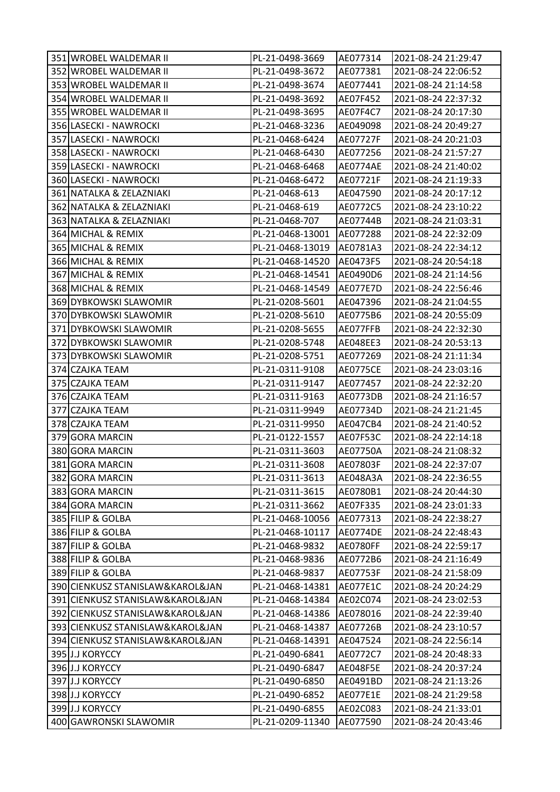| 351 WROBEL WALDEMAR II           | PL-21-0498-3669  | AE077314        | 2021-08-24 21:29:47 |
|----------------------------------|------------------|-----------------|---------------------|
| 352 WROBEL WALDEMAR II           | PL-21-0498-3672  | AE077381        | 2021-08-24 22:06:52 |
| 353 WROBEL WALDEMAR II           | PL-21-0498-3674  | AE077441        | 2021-08-24 21:14:58 |
| 354 WROBEL WALDEMAR II           | PL-21-0498-3692  | AE07F452        | 2021-08-24 22:37:32 |
| 355 WROBEL WALDEMAR II           | PL-21-0498-3695  | AE07F4C7        | 2021-08-24 20:17:30 |
| 356 LASECKI - NAWROCKI           | PL-21-0468-3236  | AE049098        | 2021-08-24 20:49:27 |
| 357 LASECKI - NAWROCKI           | PL-21-0468-6424  | AE07727F        | 2021-08-24 20:21:03 |
| 358 LASECKI - NAWROCKI           | PL-21-0468-6430  | AE077256        | 2021-08-24 21:57:27 |
| 359 LASECKI - NAWROCKI           | PL-21-0468-6468  | AE0774AE        | 2021-08-24 21:40:02 |
| 360 LASECKI - NAWROCKI           | PL-21-0468-6472  | AE07721F        | 2021-08-24 21:19:33 |
| 361 NATALKA & ZELAZNIAKI         | PL-21-0468-613   | AE047590        | 2021-08-24 20:17:12 |
| 362 NATALKA & ZELAZNIAKI         | PL-21-0468-619   | AE0772C5        | 2021-08-24 23:10:22 |
| 363 NATALKA & ZELAZNIAKI         | PL-21-0468-707   | AE07744B        | 2021-08-24 21:03:31 |
| 364 MICHAL & REMIX               | PL-21-0468-13001 | AE077288        | 2021-08-24 22:32:09 |
| 365 MICHAL & REMIX               | PL-21-0468-13019 | AE0781A3        | 2021-08-24 22:34:12 |
| 366 MICHAL & REMIX               | PL-21-0468-14520 | AE0473F5        | 2021-08-24 20:54:18 |
| 367 MICHAL & REMIX               | PL-21-0468-14541 | AE0490D6        | 2021-08-24 21:14:56 |
| 368 MICHAL & REMIX               | PL-21-0468-14549 | <b>AE077E7D</b> | 2021-08-24 22:56:46 |
| 369 DYBKOWSKI SLAWOMIR           | PL-21-0208-5601  | AE047396        | 2021-08-24 21:04:55 |
| 370 DYBKOWSKI SLAWOMIR           | PL-21-0208-5610  | AE0775B6        | 2021-08-24 20:55:09 |
| 371 DYBKOWSKI SLAWOMIR           | PL-21-0208-5655  | AE077FFB        | 2021-08-24 22:32:30 |
| 372 DYBKOWSKI SLAWOMIR           | PL-21-0208-5748  | AE048EE3        | 2021-08-24 20:53:13 |
| 373 DYBKOWSKI SLAWOMIR           | PL-21-0208-5751  | AE077269        | 2021-08-24 21:11:34 |
| 374 CZAJKA TEAM                  | PL-21-0311-9108  | <b>AE0775CE</b> | 2021-08-24 23:03:16 |
| 375 CZAJKA TEAM                  | PL-21-0311-9147  | AE077457        | 2021-08-24 22:32:20 |
| 376 CZAJKA TEAM                  | PL-21-0311-9163  | AE0773DB        | 2021-08-24 21:16:57 |
| 377 CZAJKA TEAM                  | PL-21-0311-9949  | AE07734D        | 2021-08-24 21:21:45 |
| 378 CZAJKA TEAM                  | PL-21-0311-9950  | AE047CB4        | 2021-08-24 21:40:52 |
| 379 GORA MARCIN                  | PL-21-0122-1557  | AE07F53C        | 2021-08-24 22:14:18 |
| 380 GORA MARCIN                  | PL-21-0311-3603  | AE07750A        | 2021-08-24 21:08:32 |
| 381 GORA MARCIN                  | PL-21-0311-3608  | AE07803F        | 2021-08-24 22:37:07 |
| 382 GORA MARCIN                  | PL-21-0311-3613  | AE048A3A        | 2021-08-24 22:36:55 |
| 383 GORA MARCIN                  | PL-21-0311-3615  | AE0780B1        | 2021-08-24 20:44:30 |
| 384 GORA MARCIN                  | PL-21-0311-3662  | AE07F335        | 2021-08-24 23:01:33 |
| 385 FILIP & GOLBA                | PL-21-0468-10056 | AE077313        | 2021-08-24 22:38:27 |
| 386 FILIP & GOLBA                | PL-21-0468-10117 | <b>AE0774DE</b> | 2021-08-24 22:48:43 |
| 387 FILIP & GOLBA                | PL-21-0468-9832  | <b>AE0780FF</b> | 2021-08-24 22:59:17 |
| 388 FILIP & GOLBA                | PL-21-0468-9836  | AE0772B6        | 2021-08-24 21:16:49 |
| 389 FILIP & GOLBA                | PL-21-0468-9837  | AE07753F        | 2021-08-24 21:58:09 |
| 390 CIENKUSZ STANISLAW&KAROL&JAN | PL-21-0468-14381 | AE077E1C        | 2021-08-24 20:24:29 |
| 391 CIENKUSZ STANISLAW&KAROL&JAN | PL-21-0468-14384 | AE02C074        | 2021-08-24 23:02:53 |
| 392 CIENKUSZ STANISLAW&KAROL&JAN | PL-21-0468-14386 | AE078016        | 2021-08-24 22:39:40 |
| 393 CIENKUSZ STANISLAW&KAROL&JAN | PL-21-0468-14387 | AE07726B        | 2021-08-24 23:10:57 |
| 394 CIENKUSZ STANISLAW&KAROL&JAN | PL-21-0468-14391 | AE047524        | 2021-08-24 22:56:14 |
| 395 J.J KORYCCY                  | PL-21-0490-6841  | AE0772C7        | 2021-08-24 20:48:33 |
| 396 J.J KORYCCY                  | PL-21-0490-6847  | <b>AE048F5E</b> | 2021-08-24 20:37:24 |
| 397 J.J KORYCCY                  | PL-21-0490-6850  | AE0491BD        | 2021-08-24 21:13:26 |
| 398 J.J KORYCCY                  | PL-21-0490-6852  | AE077E1E        | 2021-08-24 21:29:58 |
| 399 J.J KORYCCY                  | PL-21-0490-6855  | AE02C083        | 2021-08-24 21:33:01 |
| 400 GAWRONSKI SLAWOMIR           | PL-21-0209-11340 | AE077590        | 2021-08-24 20:43:46 |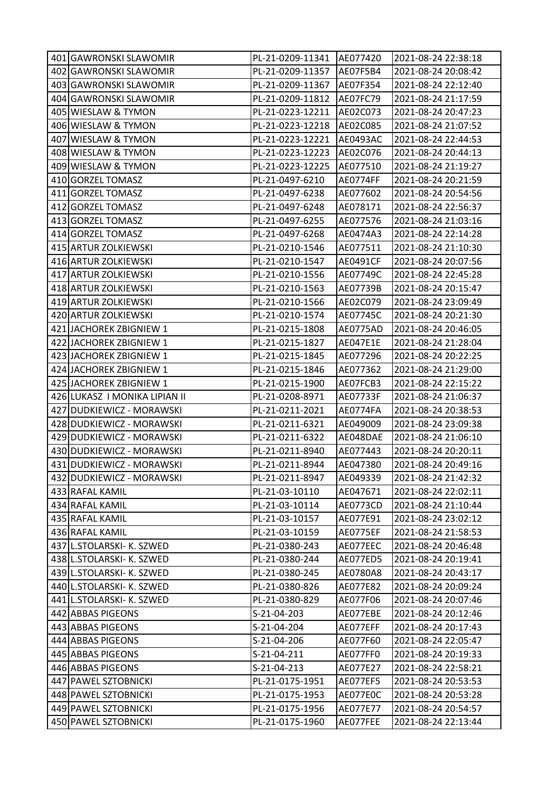| 401 GAWRONSKI SLAWOMIR        | PL-21-0209-11341 | AE077420        | 2021-08-24 22:38:18 |
|-------------------------------|------------------|-----------------|---------------------|
| 402 GAWRONSKI SLAWOMIR        | PL-21-0209-11357 | AE07F5B4        | 2021-08-24 20:08:42 |
| 403 GAWRONSKI SLAWOMIR        | PL-21-0209-11367 | AE07F354        | 2021-08-24 22:12:40 |
| 404 GAWRONSKI SLAWOMIR        | PL-21-0209-11812 | AE07FC79        | 2021-08-24 21:17:59 |
| 405 WIESLAW & TYMON           | PL-21-0223-12211 | AE02C073        | 2021-08-24 20:47:23 |
| 406 WIESLAW & TYMON           | PL-21-0223-12218 | AE02C085        | 2021-08-24 21:07:52 |
| 407 WIESLAW & TYMON           | PL-21-0223-12221 | <b>AE0493AC</b> | 2021-08-24 22:44:53 |
| 408 WIESLAW & TYMON           | PL-21-0223-12223 | AE02C076        | 2021-08-24 20:44:13 |
| 409 WIESLAW & TYMON           | PL-21-0223-12225 | AE077510        | 2021-08-24 21:19:27 |
| 410 GORZEL TOMASZ             | PL-21-0497-6210  | AE0774FF        | 2021-08-24 20:21:59 |
| 411 GORZEL TOMASZ             | PL-21-0497-6238  | AE077602        | 2021-08-24 20:54:56 |
| 412 GORZEL TOMASZ             | PL-21-0497-6248  | AE078171        | 2021-08-24 22:56:37 |
| 413 GORZEL TOMASZ             | PL-21-0497-6255  | AE077576        | 2021-08-24 21:03:16 |
| 414 GORZEL TOMASZ             | PL-21-0497-6268  | AE0474A3        | 2021-08-24 22:14:28 |
| 415 ARTUR ZOLKIEWSKI          | PL-21-0210-1546  | AE077511        | 2021-08-24 21:10:30 |
| 416 ARTUR ZOLKIEWSKI          | PL-21-0210-1547  | AE0491CF        | 2021-08-24 20:07:56 |
| 417 ARTUR ZOLKIEWSKI          | PL-21-0210-1556  | AE07749C        | 2021-08-24 22:45:28 |
| 418 ARTUR ZOLKIEWSKI          | PL-21-0210-1563  | AE07739B        | 2021-08-24 20:15:47 |
| 419 ARTUR ZOLKIEWSKI          | PL-21-0210-1566  | AE02C079        | 2021-08-24 23:09:49 |
| 420 ARTUR ZOLKIEWSKI          | PL-21-0210-1574  | AE07745C        | 2021-08-24 20:21:30 |
| 421 JACHOREK ZBIGNIEW 1       | PL-21-0215-1808  | AE0775AD        | 2021-08-24 20:46:05 |
| 422 JACHOREK ZBIGNIEW 1       | PL-21-0215-1827  | AE047E1E        | 2021-08-24 21:28:04 |
| 423 JACHOREK ZBIGNIEW 1       | PL-21-0215-1845  | AE077296        | 2021-08-24 20:22:25 |
| 424 JACHOREK ZBIGNIEW 1       | PL-21-0215-1846  | AE077362        | 2021-08-24 21:29:00 |
| 425 JACHOREK ZBIGNIEW 1       | PL-21-0215-1900  | AE07FCB3        | 2021-08-24 22:15:22 |
| 426 LUKASZ I MONIKA LIPIAN II | PL-21-0208-8971  | AE07733F        | 2021-08-24 21:06:37 |
| 427 DUDKIEWICZ - MORAWSKI     | PL-21-0211-2021  | AE0774FA        | 2021-08-24 20:38:53 |
| 428 DUDKIEWICZ - MORAWSKI     | PL-21-0211-6321  | AE049009        | 2021-08-24 23:09:38 |
| 429 DUDKIEWICZ - MORAWSKI     | PL-21-0211-6322  | AE048DAE        | 2021-08-24 21:06:10 |
| 430 DUDKIEWICZ - MORAWSKI     | PL-21-0211-8940  | AE077443        | 2021-08-24 20:20:11 |
| 431 DUDKIEWICZ - MORAWSKI     | PL-21-0211-8944  | AE047380        | 2021-08-24 20:49:16 |
| 432 DUDKIEWICZ - MORAWSKI     | PL-21-0211-8947  | AE049339        | 2021-08-24 21:42:32 |
| 433 RAFAL KAMIL               | PL-21-03-10110   | AE047671        | 2021-08-24 22:02:11 |
| 434 RAFAL KAMIL               | PL-21-03-10114   | AE0773CD        | 2021-08-24 21:10:44 |
| 435 RAFAL KAMIL               | PL-21-03-10157   | AE077E91        | 2021-08-24 23:02:12 |
| 436 RAFAL KAMIL               | PL-21-03-10159   | <b>AE0775EF</b> | 2021-08-24 21:58:53 |
| 437 L.STOLARSKI- K. SZWED     | PL-21-0380-243   | AE077EEC        | 2021-08-24 20:46:48 |
| 438 L.STOLARSKI- K. SZWED     | PL-21-0380-244   | AE077ED5        | 2021-08-24 20:19:41 |
| 439 L.STOLARSKI- K. SZWED     | PL-21-0380-245   | AE0780A8        | 2021-08-24 20:43:17 |
| 440 L.STOLARSKI- K. SZWED     | PL-21-0380-826   | AE077E82        | 2021-08-24 20:09:24 |
| 441 L.STOLARSKI- K. SZWED     | PL-21-0380-829   | AE077F06        | 2021-08-24 20:07:46 |
| 442 ABBAS PIGEONS             | S-21-04-203      | AE077EBE        | 2021-08-24 20:12:46 |
| 443 ABBAS PIGEONS             | S-21-04-204      | AE077EFF        | 2021-08-24 20:17:43 |
| 444 ABBAS PIGEONS             | S-21-04-206      | AE077F60        | 2021-08-24 22:05:47 |
| 445 ABBAS PIGEONS             | S-21-04-211      | AE077FF0        | 2021-08-24 20:19:33 |
| 446 ABBAS PIGEONS             | S-21-04-213      | AE077E27        | 2021-08-24 22:58:21 |
| 447 PAWEL SZTOBNICKI          | PL-21-0175-1951  | <b>AE077EF5</b> | 2021-08-24 20:53:53 |
| 448 PAWEL SZTOBNICKI          | PL-21-0175-1953  | AE077E0C        | 2021-08-24 20:53:28 |
| 449 PAWEL SZTOBNICKI          | PL-21-0175-1956  | AE077E77        | 2021-08-24 20:54:57 |
| 450 PAWEL SZTOBNICKI          | PL-21-0175-1960  | AE077FEE        | 2021-08-24 22:13:44 |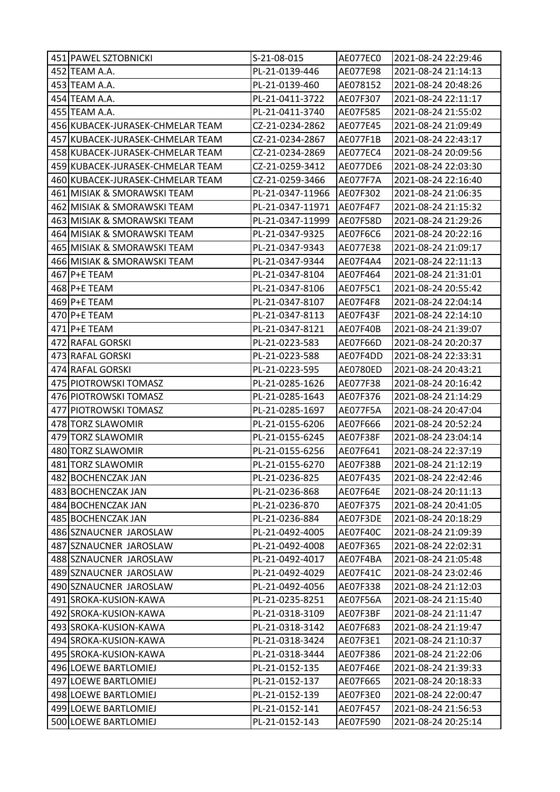| 451 PAWEL SZTOBNICKI             | S-21-08-015      | AE077EC0 | 2021-08-24 22:29:46 |
|----------------------------------|------------------|----------|---------------------|
| 452 TEAM A.A.                    | PL-21-0139-446   | AE077E98 | 2021-08-24 21:14:13 |
| 453 TEAM A.A.                    | PL-21-0139-460   | AE078152 | 2021-08-24 20:48:26 |
| 454 TEAM A.A.                    | PL-21-0411-3722  | AE07F307 | 2021-08-24 22:11:17 |
| 455 TEAM A.A.                    | PL-21-0411-3740  | AE07F585 | 2021-08-24 21:55:02 |
| 456 KUBACEK-JURASEK-CHMELAR TEAM | CZ-21-0234-2862  | AE077E45 | 2021-08-24 21:09:49 |
| 457 KUBACEK-JURASEK-CHMELAR TEAM | CZ-21-0234-2867  | AE077F1B | 2021-08-24 22:43:17 |
| 458 KUBACEK-JURASEK-CHMELAR TEAM | CZ-21-0234-2869  | AE077EC4 | 2021-08-24 20:09:56 |
| 459 KUBACEK-JURASEK-CHMELAR TEAM | CZ-21-0259-3412  | AE077DE6 | 2021-08-24 22:03:30 |
| 460 KUBACEK-JURASEK-CHMELAR TEAM | CZ-21-0259-3466  | AE077F7A | 2021-08-24 22:16:40 |
| 461 MISIAK & SMORAWSKI TEAM      | PL-21-0347-11966 | AE07F302 | 2021-08-24 21:06:35 |
| 462 MISIAK & SMORAWSKI TEAM      | PL-21-0347-11971 | AE07F4F7 | 2021-08-24 21:15:32 |
| 463 MISIAK & SMORAWSKI TEAM      | PL-21-0347-11999 | AE07F58D | 2021-08-24 21:29:26 |
| 464 MISIAK & SMORAWSKI TEAM      | PL-21-0347-9325  | AE07F6C6 | 2021-08-24 20:22:16 |
| 465 MISIAK & SMORAWSKI TEAM      | PL-21-0347-9343  | AE077E38 | 2021-08-24 21:09:17 |
| 466 MISIAK & SMORAWSKI TEAM      | PL-21-0347-9344  | AE07F4A4 | 2021-08-24 22:11:13 |
| 467 P+E TEAM                     | PL-21-0347-8104  | AE07F464 | 2021-08-24 21:31:01 |
| 468 P+E TEAM                     | PL-21-0347-8106  | AE07F5C1 | 2021-08-24 20:55:42 |
| 469 P+E TEAM                     | PL-21-0347-8107  | AE07F4F8 | 2021-08-24 22:04:14 |
| 470 P+E TEAM                     | PL-21-0347-8113  | AE07F43F | 2021-08-24 22:14:10 |
| 471 P+E TEAM                     | PL-21-0347-8121  | AE07F40B | 2021-08-24 21:39:07 |
| 472 RAFAL GORSKI                 | PL-21-0223-583   | AE07F66D | 2021-08-24 20:20:37 |
| 473 RAFAL GORSKI                 | PL-21-0223-588   | AE07F4DD | 2021-08-24 22:33:31 |
| 474 RAFAL GORSKI                 | PL-21-0223-595   | AE0780ED | 2021-08-24 20:43:21 |
| 475 PIOTROWSKI TOMASZ            | PL-21-0285-1626  | AE077F38 | 2021-08-24 20:16:42 |
| 476 PIOTROWSKI TOMASZ            | PL-21-0285-1643  | AE07F376 | 2021-08-24 21:14:29 |
| 477 PIOTROWSKI TOMASZ            | PL-21-0285-1697  | AE077F5A | 2021-08-24 20:47:04 |
| 478 TORZ SLAWOMIR                | PL-21-0155-6206  | AE07F666 | 2021-08-24 20:52:24 |
| 479 TORZ SLAWOMIR                | PL-21-0155-6245  | AE07F38F | 2021-08-24 23:04:14 |
| 480 TORZ SLAWOMIR                | PL-21-0155-6256  | AE07F641 | 2021-08-24 22:37:19 |
| 481 TORZ SLAWOMIR                | PL-21-0155-6270  | AE07F38B | 2021-08-24 21:12:19 |
| 482 BOCHENCZAK JAN               | PL-21-0236-825   | AE07F435 | 2021-08-24 22:42:46 |
| 483 BOCHENCZAK JAN               | PL-21-0236-868   | AE07F64E | 2021-08-24 20:11:13 |
| 484 BOCHENCZAK JAN               | PL-21-0236-870   | AE07F375 | 2021-08-24 20:41:05 |
| 485 BOCHENCZAK JAN               | PL-21-0236-884   | AE07F3DE | 2021-08-24 20:18:29 |
| 486 SZNAUCNER JAROSLAW           | PL-21-0492-4005  | AE07F40C | 2021-08-24 21:09:39 |
| 487 SZNAUCNER JAROSLAW           | PL-21-0492-4008  | AE07F365 | 2021-08-24 22:02:31 |
| 488 SZNAUCNER JAROSLAW           | PL-21-0492-4017  | AE07F4BA | 2021-08-24 21:05:48 |
| 489 SZNAUCNER JAROSLAW           | PL-21-0492-4029  | AE07F41C | 2021-08-24 23:02:46 |
| 490 SZNAUCNER JAROSLAW           | PL-21-0492-4056  | AE07F338 | 2021-08-24 21:12:03 |
| 491 SROKA-KUSION-KAWA            | PL-21-0235-8251  | AE07F56A | 2021-08-24 21:15:40 |
| 492 SROKA-KUSION-KAWA            | PL-21-0318-3109  | AE07F3BF | 2021-08-24 21:11:47 |
| 493 SROKA-KUSION-KAWA            | PL-21-0318-3142  | AE07F683 | 2021-08-24 21:19:47 |
| 494 SROKA-KUSION-KAWA            | PL-21-0318-3424  | AE07F3E1 | 2021-08-24 21:10:37 |
| 495 SROKA-KUSION-KAWA            | PL-21-0318-3444  | AE07F386 | 2021-08-24 21:22:06 |
| 496 LOEWE BARTLOMIEJ             | PL-21-0152-135   | AE07F46E | 2021-08-24 21:39:33 |
| 497 LOEWE BARTLOMIEJ             | PL-21-0152-137   | AE07F665 | 2021-08-24 20:18:33 |
| 498 LOEWE BARTLOMIEJ             | PL-21-0152-139   | AE07F3E0 | 2021-08-24 22:00:47 |
| 499 LOEWE BARTLOMIEJ             | PL-21-0152-141   | AE07F457 | 2021-08-24 21:56:53 |
| 500 LOEWE BARTLOMIEJ             | PL-21-0152-143   | AE07F590 | 2021-08-24 20:25:14 |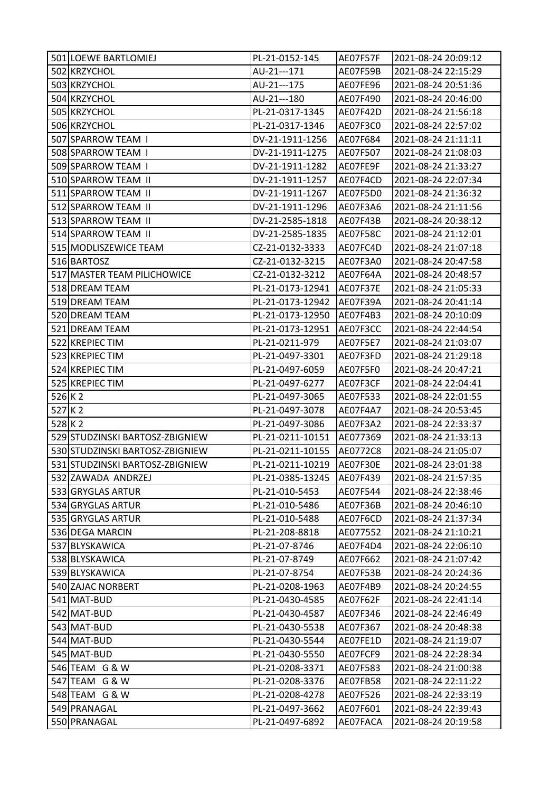|           | 501 LOEWE BARTLOMIEJ            | PL-21-0152-145                     | AE07F57F             | 2021-08-24 20:09:12                        |
|-----------|---------------------------------|------------------------------------|----------------------|--------------------------------------------|
|           | 502 KRZYCHOL                    | AU-21---171                        | AE07F59B             | 2021-08-24 22:15:29                        |
|           | 503 KRZYCHOL                    | AU-21---175                        | AE07FE96             | 2021-08-24 20:51:36                        |
|           | 504 KRZYCHOL                    | AU-21---180                        | AE07F490             | 2021-08-24 20:46:00                        |
|           | 505 KRZYCHOL                    | PL-21-0317-1345                    | AE07F42D             | 2021-08-24 21:56:18                        |
|           | 506 KRZYCHOL                    | PL-21-0317-1346                    | AE07F3C0             | 2021-08-24 22:57:02                        |
|           | 507 SPARROW TEAM I              | DV-21-1911-1256                    | AE07F684             | 2021-08-24 21:11:11                        |
|           | 508 SPARROW TEAM I              | DV-21-1911-1275                    | AE07F507             | 2021-08-24 21:08:03                        |
|           | 509 SPARROW TEAM I              | DV-21-1911-1282                    | AE07FE9F             | 2021-08-24 21:33:27                        |
|           | 510 SPARROW TEAM II             | DV-21-1911-1257                    | AE07F4CD             | 2021-08-24 22:07:34                        |
|           | 511 SPARROW TEAM II             | DV-21-1911-1267                    | AE07F5D0             | 2021-08-24 21:36:32                        |
|           | 512 SPARROW TEAM II             | DV-21-1911-1296                    | AE07F3A6             | 2021-08-24 21:11:56                        |
|           | 513 SPARROW TEAM II             | DV-21-2585-1818                    | AE07F43B             | 2021-08-24 20:38:12                        |
|           | 514 SPARROW TEAM II             | DV-21-2585-1835                    | <b>AE07F58C</b>      | 2021-08-24 21:12:01                        |
|           | 515 MODLISZEWICE TEAM           | CZ-21-0132-3333                    | AE07FC4D             | 2021-08-24 21:07:18                        |
|           | 516 BARTOSZ                     | CZ-21-0132-3215                    | AE07F3A0             | 2021-08-24 20:47:58                        |
|           | 517 MASTER TEAM PILICHOWICE     | CZ-21-0132-3212                    | AE07F64A             | 2021-08-24 20:48:57                        |
|           | 518 DREAM TEAM                  | PL-21-0173-12941                   | AE07F37E             | 2021-08-24 21:05:33                        |
|           | 519 DREAM TEAM                  | PL-21-0173-12942                   | AE07F39A             | 2021-08-24 20:41:14                        |
|           | 520 DREAM TEAM                  | PL-21-0173-12950                   | AE07F4B3             | 2021-08-24 20:10:09                        |
|           | 521 DREAM TEAM                  | PL-21-0173-12951                   | AE07F3CC             | 2021-08-24 22:44:54                        |
|           | 522 KREPIEC TIM                 | PL-21-0211-979                     | <b>AE07F5E7</b>      | 2021-08-24 21:03:07                        |
|           | 523 KREPIEC TIM                 | PL-21-0497-3301                    | AE07F3FD             | 2021-08-24 21:29:18                        |
|           | 524 KREPIEC TIM                 | PL-21-0497-6059                    | AE07F5F0             | 2021-08-24 20:47:21                        |
|           | 525 KREPIEC TIM                 | PL-21-0497-6277                    | AE07F3CF             | 2021-08-24 22:04:41                        |
|           |                                 |                                    |                      |                                            |
| $526$ K 2 |                                 | PL-21-0497-3065                    | AE07F533             | 2021-08-24 22:01:55                        |
| $527$ K 2 |                                 | PL-21-0497-3078                    | AE07F4A7             | 2021-08-24 20:53:45                        |
| $528$ K 2 |                                 | PL-21-0497-3086                    | AE07F3A2             | 2021-08-24 22:33:37                        |
|           | 529 STUDZINSKI BARTOSZ-ZBIGNIEW | PL-21-0211-10151                   | AE077369             | 2021-08-24 21:33:13                        |
|           | 530 STUDZINSKI BARTOSZ-ZBIGNIEW | PL-21-0211-10155                   | AE0772C8             | 2021-08-24 21:05:07                        |
|           | 531 STUDZINSKI BARTOSZ-ZBIGNIEW | PL-21-0211-10219                   | AE07F30E             | 2021-08-24 23:01:38                        |
|           | 532 ZAWADA ANDRZEJ              | PL-21-0385-13245                   | AE07F439             | 2021-08-24 21:57:35                        |
|           | 533 GRYGLAS ARTUR               | PL-21-010-5453                     | AE07F544             | 2021-08-24 22:38:46                        |
|           | 534 GRYGLAS ARTUR               | PL-21-010-5486                     | AE07F36B             | 2021-08-24 20:46:10                        |
|           | 535 GRYGLAS ARTUR               | PL-21-010-5488                     | AE07F6CD             | 2021-08-24 21:37:34                        |
|           | 536 DEGA MARCIN                 | PL-21-208-8818                     | AE077552             | 2021-08-24 21:10:21                        |
|           | 537 BLYSKAWICA                  | PL-21-07-8746                      | AE07F4D4             | 2021-08-24 22:06:10                        |
|           | 538 BLYSKAWICA                  | PL-21-07-8749                      | AE07F662             | 2021-08-24 21:07:42                        |
|           | 539 BLYSKAWICA                  | PL-21-07-8754                      | AE07F53B             | 2021-08-24 20:24:36                        |
|           | 540 ZAJAC NORBERT               | PL-21-0208-1963                    | AE07F4B9             | 2021-08-24 20:24:55                        |
|           | 541 MAT-BUD                     | PL-21-0430-4585                    | AE07F62F             | 2021-08-24 22:41:14                        |
|           | 542 MAT-BUD                     | PL-21-0430-4587                    | AE07F346             | 2021-08-24 22:46:49                        |
|           | 543 MAT-BUD                     | PL-21-0430-5538                    | AE07F367             | 2021-08-24 20:48:38                        |
|           | 544 MAT-BUD                     | PL-21-0430-5544                    | AE07FE1D             | 2021-08-24 21:19:07                        |
|           | 545 MAT-BUD                     | PL-21-0430-5550                    | AE07FCF9             | 2021-08-24 22:28:34                        |
|           | 546 TEAM G & W                  | PL-21-0208-3371                    | AE07F583             | 2021-08-24 21:00:38                        |
|           | 547 TEAM G & W                  | PL-21-0208-3376                    | AE07FB58             | 2021-08-24 22:11:22                        |
|           | 548 TEAM G & W                  | PL-21-0208-4278                    | AE07F526             | 2021-08-24 22:33:19                        |
|           | 549 PRANAGAL<br>550 PRANAGAL    | PL-21-0497-3662<br>PL-21-0497-6892 | AE07F601<br>AE07FACA | 2021-08-24 22:39:43<br>2021-08-24 20:19:58 |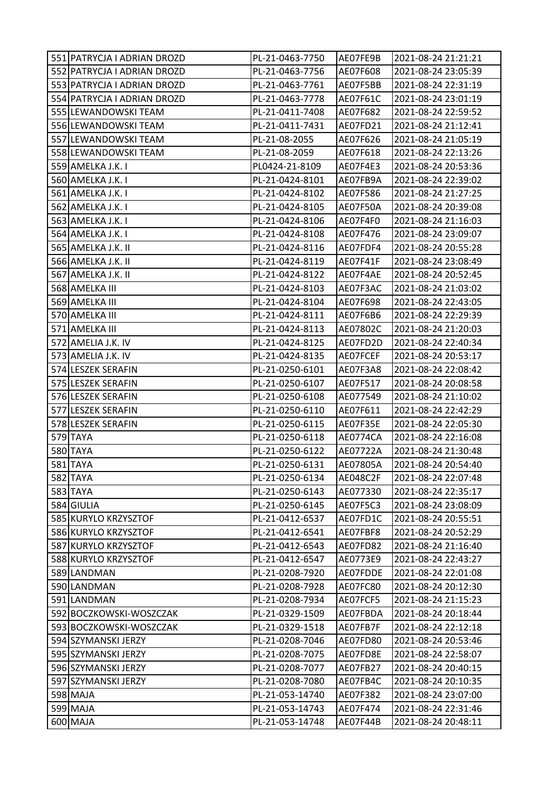| 551 PATRYCJA I ADRIAN DROZD | PL-21-0463-7750 | AE07FE9B | 2021-08-24 21:21:21 |
|-----------------------------|-----------------|----------|---------------------|
| 552 PATRYCJA I ADRIAN DROZD | PL-21-0463-7756 | AE07F608 | 2021-08-24 23:05:39 |
| 553 PATRYCJA I ADRIAN DROZD | PL-21-0463-7761 | AE07F5BB | 2021-08-24 22:31:19 |
| 554 PATRYCJA I ADRIAN DROZD | PL-21-0463-7778 | AE07F61C | 2021-08-24 23:01:19 |
| 555 LEWANDOWSKI TEAM        | PL-21-0411-7408 | AE07F682 | 2021-08-24 22:59:52 |
| 556 LEWANDOWSKI TEAM        | PL-21-0411-7431 | AE07FD21 | 2021-08-24 21:12:41 |
| 557 LEWANDOWSKI TEAM        | PL-21-08-2055   | AE07F626 | 2021-08-24 21:05:19 |
| 558 LEWANDOWSKI TEAM        | PL-21-08-2059   | AE07F618 | 2021-08-24 22:13:26 |
| 559 AMELKA J.K. I           | PL0424-21-8109  | AE07F4E3 | 2021-08-24 20:53:36 |
| 560 AMELKA J.K. I           | PL-21-0424-8101 | AE07FB9A | 2021-08-24 22:39:02 |
| 561 AMELKA J.K. I           | PL-21-0424-8102 | AE07F586 | 2021-08-24 21:27:25 |
| 562 AMELKA J.K. I           | PL-21-0424-8105 | AE07F50A | 2021-08-24 20:39:08 |
| 563 AMELKA J.K. I           | PL-21-0424-8106 | AE07F4F0 | 2021-08-24 21:16:03 |
| 564 AMELKA J.K. I           | PL-21-0424-8108 | AE07F476 | 2021-08-24 23:09:07 |
| 565 AMELKA J.K. II          | PL-21-0424-8116 | AE07FDF4 | 2021-08-24 20:55:28 |
| 566 AMELKA J.K. II          | PL-21-0424-8119 | AE07F41F | 2021-08-24 23:08:49 |
| 567 AMELKA J.K. II          | PL-21-0424-8122 | AE07F4AE | 2021-08-24 20:52:45 |
| 568 AMELKA III              | PL-21-0424-8103 | AE07F3AC | 2021-08-24 21:03:02 |
| 569 AMELKA III              | PL-21-0424-8104 | AE07F698 | 2021-08-24 22:43:05 |
| 570 AMELKA III              | PL-21-0424-8111 | AE07F6B6 | 2021-08-24 22:29:39 |
| 571 AMELKA III              | PL-21-0424-8113 | AE07802C | 2021-08-24 21:20:03 |
| 572 AMELIA J.K. IV          | PL-21-0424-8125 | AE07FD2D | 2021-08-24 22:40:34 |
| 573 AMELIA J.K. IV          | PL-21-0424-8135 | AE07FCEF | 2021-08-24 20:53:17 |
| 574 LESZEK SERAFIN          | PL-21-0250-6101 | AE07F3A8 | 2021-08-24 22:08:42 |
| 575 LESZEK SERAFIN          | PL-21-0250-6107 | AE07F517 | 2021-08-24 20:08:58 |
| 576 LESZEK SERAFIN          | PL-21-0250-6108 | AE077549 | 2021-08-24 21:10:02 |
| 577 LESZEK SERAFIN          | PL-21-0250-6110 | AE07F611 | 2021-08-24 22:42:29 |
| 578 LESZEK SERAFIN          | PL-21-0250-6115 | AE07F35E | 2021-08-24 22:05:30 |
| 579 TAYA                    | PL-21-0250-6118 | AE0774CA | 2021-08-24 22:16:08 |
| 580 TAYA                    | PL-21-0250-6122 | AE07722A | 2021-08-24 21:30:48 |
| 581 TAYA                    | PL-21-0250-6131 | AE07805A | 2021-08-24 20:54:40 |
| 582 TAYA                    | PL-21-0250-6134 | AE048C2F | 2021-08-24 22:07:48 |
| 583 TAYA                    | PL-21-0250-6143 | AE077330 | 2021-08-24 22:35:17 |
| 584 GIULIA                  | PL-21-0250-6145 | AE07F5C3 | 2021-08-24 23:08:09 |
| 585 KURYLO KRZYSZTOF        | PL-21-0412-6537 | AE07FD1C | 2021-08-24 20:55:51 |
| 586 KURYLO KRZYSZTOF        | PL-21-0412-6541 | AE07FBF8 | 2021-08-24 20:52:29 |
| 587 KURYLO KRZYSZTOF        | PL-21-0412-6543 | AE07FD82 | 2021-08-24 21:16:40 |
| 588 KURYLO KRZYSZTOF        | PL-21-0412-6547 | AE0773E9 | 2021-08-24 22:43:27 |
| 589 LANDMAN                 | PL-21-0208-7920 | AE07FDDE | 2021-08-24 22:01:08 |
| 590 LANDMAN                 | PL-21-0208-7928 | AE07FC80 | 2021-08-24 20:12:30 |
| 591 LANDMAN                 | PL-21-0208-7934 | AE07FCF5 | 2021-08-24 21:15:23 |
| 592 BOCZKOWSKI-WOSZCZAK     | PL-21-0329-1509 | AE07FBDA | 2021-08-24 20:18:44 |
| 593 BOCZKOWSKI-WOSZCZAK     | PL-21-0329-1518 | AE07FB7F | 2021-08-24 22:12:18 |
| 594 SZYMANSKI JERZY         | PL-21-0208-7046 | AE07FD80 | 2021-08-24 20:53:46 |
| 595 SZYMANSKI JERZY         | PL-21-0208-7075 | AE07FD8E | 2021-08-24 22:58:07 |
| 596 SZYMANSKI JERZY         | PL-21-0208-7077 | AE07FB27 | 2021-08-24 20:40:15 |
| 597 SZYMANSKI JERZY         | PL-21-0208-7080 | AE07FB4C | 2021-08-24 20:10:35 |
| 598 MAJA                    | PL-21-053-14740 | AE07F382 | 2021-08-24 23:07:00 |
| 599 MAJA                    | PL-21-053-14743 | AE07F474 | 2021-08-24 22:31:46 |
| 600 MAJA                    | PL-21-053-14748 | AE07F44B | 2021-08-24 20:48:11 |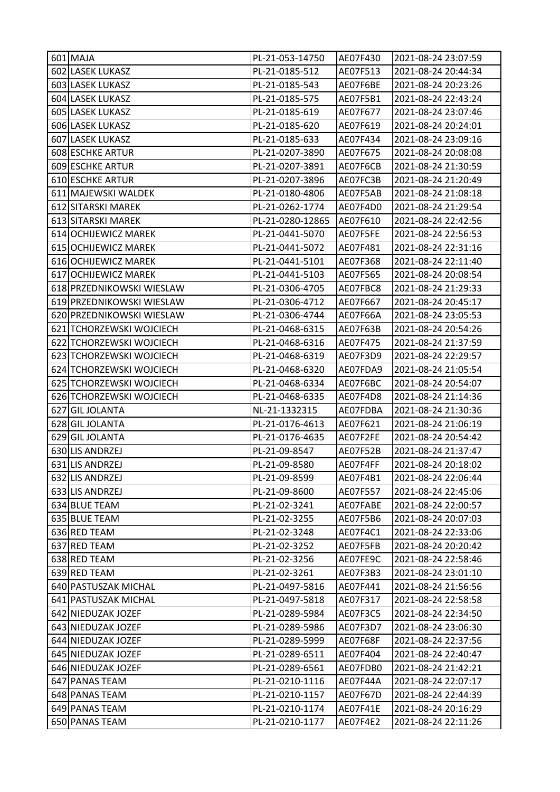| 601 MAJA                                   | PL-21-053-14750                    | AE07F430             | 2021-08-24 23:07:59                        |
|--------------------------------------------|------------------------------------|----------------------|--------------------------------------------|
| 602 LASEK LUKASZ                           | PL-21-0185-512                     | AE07F513             | 2021-08-24 20:44:34                        |
| 603 LASEK LUKASZ                           | PL-21-0185-543                     | AE07F6BE             | 2021-08-24 20:23:26                        |
| 604 LASEK LUKASZ                           | PL-21-0185-575                     | AE07F5B1             | 2021-08-24 22:43:24                        |
| 605 LASEK LUKASZ                           | PL-21-0185-619                     | AE07F677             | 2021-08-24 23:07:46                        |
| 606 LASEK LUKASZ                           | PL-21-0185-620                     | AE07F619             | 2021-08-24 20:24:01                        |
| 607 LASEK LUKASZ                           | PL-21-0185-633                     | AE07F434             | 2021-08-24 23:09:16                        |
| 608 ESCHKE ARTUR                           | PL-21-0207-3890                    | AE07F675             | 2021-08-24 20:08:08                        |
| 609 ESCHKE ARTUR                           | PL-21-0207-3891                    | AE07F6CB             | 2021-08-24 21:30:59                        |
| 610 ESCHKE ARTUR                           | PL-21-0207-3896                    | AE07FC3B             | 2021-08-24 21:20:49                        |
| 611 MAJEWSKI WALDEK                        | PL-21-0180-4806                    | AE07F5AB             | 2021-08-24 21:08:18                        |
| 612 SITARSKI MAREK                         | PL-21-0262-1774                    | AE07F4D0             | 2021-08-24 21:29:54                        |
| 613 SITARSKI MAREK                         | PL-21-0280-12865                   | AE07F610             | 2021-08-24 22:42:56                        |
| 614 OCHIJEWICZ MAREK                       | PL-21-0441-5070                    | AE07F5FE             | 2021-08-24 22:56:53                        |
| 615 OCHIJEWICZ MAREK                       | PL-21-0441-5072                    | AE07F481             | 2021-08-24 22:31:16                        |
| 616 OCHIJEWICZ MAREK                       | PL-21-0441-5101                    | AE07F368             | 2021-08-24 22:11:40                        |
| 617 OCHIJEWICZ MAREK                       | PL-21-0441-5103                    | AE07F565             | 2021-08-24 20:08:54                        |
| 618 PRZEDNIKOWSKI WIESLAW                  | PL-21-0306-4705                    | AE07FBC8             | 2021-08-24 21:29:33                        |
| 619 PRZEDNIKOWSKI WIESLAW                  | PL-21-0306-4712                    | AE07F667             | 2021-08-24 20:45:17                        |
| 620 PRZEDNIKOWSKI WIESLAW                  | PL-21-0306-4744                    | AE07F66A             | 2021-08-24 23:05:53                        |
| 621 TCHORZEWSKI WOJCIECH                   | PL-21-0468-6315                    | AE07F63B             | 2021-08-24 20:54:26                        |
| 622 TCHORZEWSKI WOJCIECH                   | PL-21-0468-6316                    | AE07F475             | 2021-08-24 21:37:59                        |
| 623 TCHORZEWSKI WOJCIECH                   | PL-21-0468-6319                    | AE07F3D9             | 2021-08-24 22:29:57                        |
| 624 TCHORZEWSKI WOJCIECH                   | PL-21-0468-6320                    | AE07FDA9             | 2021-08-24 21:05:54                        |
| 625 TCHORZEWSKI WOJCIECH                   | PL-21-0468-6334                    | AE07F6BC             | 2021-08-24 20:54:07                        |
| 626 TCHORZEWSKI WOJCIECH                   | PL-21-0468-6335                    | AE07F4D8             | 2021-08-24 21:14:36                        |
| 627 GIL JOLANTA                            | NL-21-1332315                      | AE07FDBA             | 2021-08-24 21:30:36                        |
| 628 GIL JOLANTA                            | PL-21-0176-4613                    | AE07F621             | 2021-08-24 21:06:19                        |
| 629 GIL JOLANTA                            | PL-21-0176-4635                    | AE07F2FE             | 2021-08-24 20:54:42                        |
| 630 LIS ANDRZEJ                            | PL-21-09-8547                      | AE07F52B             | 2021-08-24 21:37:47                        |
| 631 LIS ANDRZEJ                            | PL-21-09-8580                      | AE07F4FF             | 2021-08-24 20:18:02                        |
| 632 LIS ANDRZEJ                            | PL-21-09-8599                      | AE07F4B1             | 2021-08-24 22:06:44                        |
| 633 LIS ANDRZEJ                            | PL-21-09-8600                      | AE07F557             | 2021-08-24 22:45:06                        |
| 634 BLUE TEAM                              | PL-21-02-3241                      | AE07FABE             | 2021-08-24 22:00:57                        |
| 635 BLUE TEAM                              | PL-21-02-3255                      | AE07F5B6             | 2021-08-24 20:07:03                        |
| 636 RED TEAM                               | PL-21-02-3248                      | AE07F4C1             | 2021-08-24 22:33:06                        |
| 637 RED TEAM                               | PL-21-02-3252                      | AE07F5FB             | 2021-08-24 20:20:42                        |
| 638 RED TEAM                               | PL-21-02-3256                      | AE07FE9C             | 2021-08-24 22:58:46                        |
| 639 RED TEAM                               | PL-21-02-3261                      | AE07F3B3             | 2021-08-24 23:01:10                        |
| 640 PASTUSZAK MICHAL                       | PL-21-0497-5816                    | AE07F441             | 2021-08-24 21:56:56                        |
| 641 PASTUSZAK MICHAL<br>642 NIEDUZAK JOZEF | PL-21-0497-5818<br>PL-21-0289-5984 | AE07F317<br>AE07F3C5 | 2021-08-24 22:58:58<br>2021-08-24 22:34:50 |
| 643 NIEDUZAK JOZEF                         |                                    | AE07F3D7             |                                            |
| 644 NIEDUZAK JOZEF                         | PL-21-0289-5986<br>PL-21-0289-5999 | AE07F68F             | 2021-08-24 23:06:30<br>2021-08-24 22:37:56 |
| 645 NIEDUZAK JOZEF                         | PL-21-0289-6511                    | AE07F404             | 2021-08-24 22:40:47                        |
| 646 NIEDUZAK JOZEF                         | PL-21-0289-6561                    | AE07FDB0             | 2021-08-24 21:42:21                        |
| 647 PANAS TEAM                             | PL-21-0210-1116                    | AE07F44A             | 2021-08-24 22:07:17                        |
| 648 PANAS TEAM                             | PL-21-0210-1157                    | <b>AE07F67D</b>      | 2021-08-24 22:44:39                        |
| 649 PANAS TEAM                             | PL-21-0210-1174                    | AE07F41E             | 2021-08-24 20:16:29                        |
| 650 PANAS TEAM                             | PL-21-0210-1177                    | AE07F4E2             | 2021-08-24 22:11:26                        |
|                                            |                                    |                      |                                            |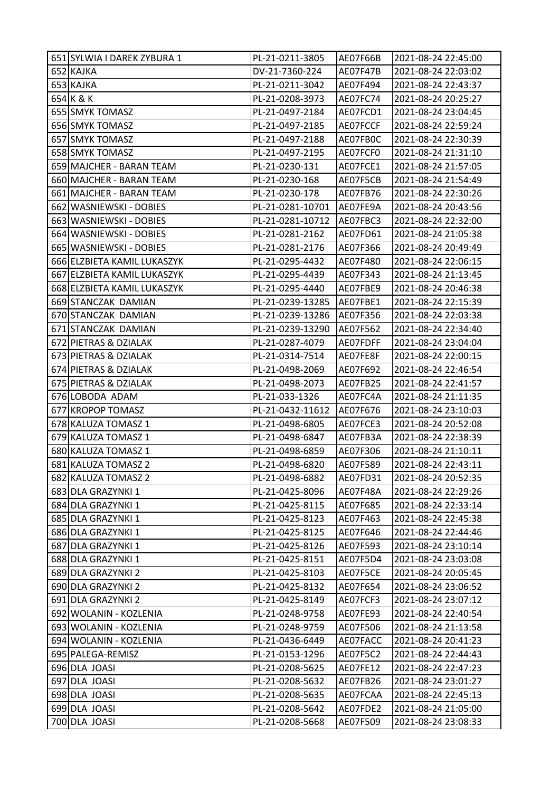| 651 SYLWIA I DAREK ZYBURA 1 | PL-21-0211-3805  | AE07F66B | 2021-08-24 22:45:00 |
|-----------------------------|------------------|----------|---------------------|
| 652 KAJKA                   | DV-21-7360-224   | AE07F47B | 2021-08-24 22:03:02 |
| 653 KAJKA                   | PL-21-0211-3042  | AE07F494 | 2021-08-24 22:43:37 |
| 654 K & K                   | PL-21-0208-3973  | AE07FC74 | 2021-08-24 20:25:27 |
| 655 SMYK TOMASZ             | PL-21-0497-2184  | AE07FCD1 | 2021-08-24 23:04:45 |
| 656 SMYK TOMASZ             | PL-21-0497-2185  | AE07FCCF | 2021-08-24 22:59:24 |
| 657 SMYK TOMASZ             | PL-21-0497-2188  | AE07FB0C | 2021-08-24 22:30:39 |
| 658 SMYK TOMASZ             | PL-21-0497-2195  | AE07FCF0 | 2021-08-24 21:31:10 |
| 659 MAJCHER - BARAN TEAM    | PL-21-0230-131   | AE07FCE1 | 2021-08-24 21:57:05 |
| 660 MAJCHER - BARAN TEAM    | PL-21-0230-168   | AE07F5CB | 2021-08-24 21:54:49 |
| 661 MAJCHER - BARAN TEAM    | PL-21-0230-178   | AE07FB76 | 2021-08-24 22:30:26 |
| 662 WASNIEWSKI - DOBIES     | PL-21-0281-10701 | AE07FE9A | 2021-08-24 20:43:56 |
| 663 WASNIEWSKI - DOBIES     | PL-21-0281-10712 | AE07FBC3 | 2021-08-24 22:32:00 |
| 664 WASNIEWSKI - DOBIES     | PL-21-0281-2162  | AE07FD61 | 2021-08-24 21:05:38 |
| 665 WASNIEWSKI - DOBIES     | PL-21-0281-2176  | AE07F366 | 2021-08-24 20:49:49 |
| 666 ELZBIETA KAMIL LUKASZYK | PL-21-0295-4432  | AE07F480 | 2021-08-24 22:06:15 |
| 667 ELZBIETA KAMIL LUKASZYK | PL-21-0295-4439  | AE07F343 | 2021-08-24 21:13:45 |
| 668 ELZBIETA KAMIL LUKASZYK | PL-21-0295-4440  | AE07FBE9 | 2021-08-24 20:46:38 |
| 669 STANCZAK DAMIAN         | PL-21-0239-13285 | AE07FBE1 | 2021-08-24 22:15:39 |
| 670 STANCZAK DAMIAN         | PL-21-0239-13286 | AE07F356 | 2021-08-24 22:03:38 |
| 671 STANCZAK DAMIAN         | PL-21-0239-13290 | AE07F562 | 2021-08-24 22:34:40 |
| 672 PIETRAS & DZIALAK       | PL-21-0287-4079  | AE07FDFF | 2021-08-24 23:04:04 |
| 673 PIETRAS & DZIALAK       | PL-21-0314-7514  | AE07FE8F | 2021-08-24 22:00:15 |
| 674 PIETRAS & DZIALAK       | PL-21-0498-2069  | AE07F692 | 2021-08-24 22:46:54 |
| 675 PIETRAS & DZIALAK       | PL-21-0498-2073  | AE07FB25 | 2021-08-24 22:41:57 |
| 676 LOBODA ADAM             | PL-21-033-1326   | AE07FC4A | 2021-08-24 21:11:35 |
| 677 KROPOP TOMASZ           | PL-21-0432-11612 | AE07F676 | 2021-08-24 23:10:03 |
| 678 KALUZA TOMASZ 1         | PL-21-0498-6805  | AE07FCE3 | 2021-08-24 20:52:08 |
| 679 KALUZA TOMASZ 1         | PL-21-0498-6847  | AE07FB3A | 2021-08-24 22:38:39 |
| 680 KALUZA TOMASZ 1         | PL-21-0498-6859  | AE07F306 | 2021-08-24 21:10:11 |
| 681 KALUZA TOMASZ 2         | PL-21-0498-6820  | AE07F589 | 2021-08-24 22:43:11 |
| 682 KALUZA TOMASZ 2         | PL-21-0498-6882  | AE07FD31 | 2021-08-24 20:52:35 |
| 683 DLA GRAZYNKI 1          | PL-21-0425-8096  | AE07F48A | 2021-08-24 22:29:26 |
| 684 DLA GRAZYNKI 1          | PL-21-0425-8115  | AE07F685 | 2021-08-24 22:33:14 |
| 685 DLA GRAZYNKI 1          | PL-21-0425-8123  | AE07F463 | 2021-08-24 22:45:38 |
| 686 DLA GRAZYNKI 1          | PL-21-0425-8125  | AE07F646 | 2021-08-24 22:44:46 |
| 687 DLA GRAZYNKI 1          | PL-21-0425-8126  | AE07F593 | 2021-08-24 23:10:14 |
| 688 DLA GRAZYNKI 1          | PL-21-0425-8151  | AE07F5D4 | 2021-08-24 23:03:08 |
| 689 DLA GRAZYNKI 2          | PL-21-0425-8103  | AE07F5CE | 2021-08-24 20:05:45 |
| 690 DLA GRAZYNKI 2          | PL-21-0425-8132  | AE07F654 | 2021-08-24 23:06:52 |
| 691 DLA GRAZYNKI 2          | PL-21-0425-8149  | AE07FCF3 | 2021-08-24 23:07:12 |
| 692 WOLANIN - KOZLENIA      | PL-21-0248-9758  | AE07FE93 | 2021-08-24 22:40:54 |
| 693 WOLANIN - KOZLENIA      | PL-21-0248-9759  | AE07F506 | 2021-08-24 21:13:58 |
| 694 WOLANIN - KOZLENIA      | PL-21-0436-6449  | AE07FACC | 2021-08-24 20:41:23 |
| 695 PALEGA-REMISZ           | PL-21-0153-1296  | AE07F5C2 | 2021-08-24 22:44:43 |
| 696 DLA JOASI               | PL-21-0208-5625  | AE07FE12 | 2021-08-24 22:47:23 |
| 697 DLA JOASI               | PL-21-0208-5632  | AE07FB26 | 2021-08-24 23:01:27 |
| 698 DLA JOASI               | PL-21-0208-5635  | AE07FCAA | 2021-08-24 22:45:13 |
| 699 DLA JOASI               | PL-21-0208-5642  | AE07FDE2 | 2021-08-24 21:05:00 |
| 700 DLA JOASI               | PL-21-0208-5668  | AE07F509 | 2021-08-24 23:08:33 |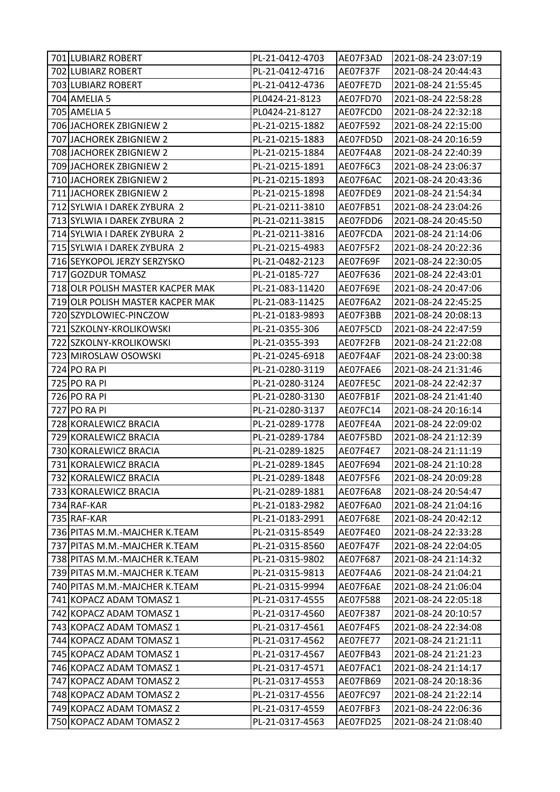| 701 LUBIARZ ROBERT               | PL-21-0412-4703 | AE07F3AD | 2021-08-24 23:07:19 |
|----------------------------------|-----------------|----------|---------------------|
| 702 LUBIARZ ROBERT               | PL-21-0412-4716 | AE07F37F | 2021-08-24 20:44:43 |
| 703 LUBIARZ ROBERT               | PL-21-0412-4736 | AE07FE7D | 2021-08-24 21:55:45 |
| 704 AMELIA 5                     | PL0424-21-8123  | AE07FD70 | 2021-08-24 22:58:28 |
| 705 AMELIA 5                     | PL0424-21-8127  | AE07FCD0 | 2021-08-24 22:32:18 |
| 706 JACHOREK ZBIGNIEW 2          | PL-21-0215-1882 | AE07F592 | 2021-08-24 22:15:00 |
| 707 JACHOREK ZBIGNIEW 2          | PL-21-0215-1883 | AE07FD5D | 2021-08-24 20:16:59 |
| 708 JACHOREK ZBIGNIEW 2          | PL-21-0215-1884 | AE07F4A8 | 2021-08-24 22:40:39 |
| 709 JACHOREK ZBIGNIEW 2          | PL-21-0215-1891 | AE07F6C3 | 2021-08-24 23:06:37 |
| 710 JACHOREK ZBIGNIEW 2          | PL-21-0215-1893 | AE07F6AC | 2021-08-24 20:43:36 |
| 711 JACHOREK ZBIGNIEW 2          | PL-21-0215-1898 | AE07FDE9 | 2021-08-24 21:54:34 |
| 712 SYLWIA I DAREK ZYBURA 2      | PL-21-0211-3810 | AE07FB51 | 2021-08-24 23:04:26 |
| 713 SYLWIA I DAREK ZYBURA 2      | PL-21-0211-3815 | AE07FDD6 | 2021-08-24 20:45:50 |
| 714 SYLWIA I DAREK ZYBURA 2      | PL-21-0211-3816 | AE07FCDA | 2021-08-24 21:14:06 |
| 715 SYLWIA I DAREK ZYBURA 2      | PL-21-0215-4983 | AE07F5F2 | 2021-08-24 20:22:36 |
| 716 SEYKOPOL JERZY SERZYSKO      | PL-21-0482-2123 | AE07F69F | 2021-08-24 22:30:05 |
| 717 GOZDUR TOMASZ                | PL-21-0185-727  | AE07F636 | 2021-08-24 22:43:01 |
| 718 OLR POLISH MASTER KACPER MAK | PL-21-083-11420 | AE07F69E | 2021-08-24 20:47:06 |
| 719 OLR POLISH MASTER KACPER MAK | PL-21-083-11425 | AE07F6A2 | 2021-08-24 22:45:25 |
| 720 SZYDLOWIEC-PINCZOW           | PL-21-0183-9893 | AE07F3BB | 2021-08-24 20:08:13 |
| 721 SZKOLNY-KROLIKOWSKI          | PL-21-0355-306  | AE07F5CD | 2021-08-24 22:47:59 |
| 722 SZKOLNY-KROLIKOWSKI          | PL-21-0355-393  | AE07F2FB | 2021-08-24 21:22:08 |
| 723 MIROSLAW OSOWSKI             | PL-21-0245-6918 | AE07F4AF | 2021-08-24 23:00:38 |
| 724 PO RA PI                     | PL-21-0280-3119 | AE07FAE6 | 2021-08-24 21:31:46 |
| 725 PO RA PI                     | PL-21-0280-3124 | AE07FE5C | 2021-08-24 22:42:37 |
| 726 PO RA PI                     | PL-21-0280-3130 | AE07FB1F | 2021-08-24 21:41:40 |
| 727 PO RA PI                     | PL-21-0280-3137 | AE07FC14 | 2021-08-24 20:16:14 |
| 728 KORALEWICZ BRACIA            | PL-21-0289-1778 | AE07FE4A | 2021-08-24 22:09:02 |
| 729 KORALEWICZ BRACIA            | PL-21-0289-1784 | AE07F5BD | 2021-08-24 21:12:39 |
| 730 KORALEWICZ BRACIA            | PL-21-0289-1825 | AE07F4E7 | 2021-08-24 21:11:19 |
| 731 KORALEWICZ BRACIA            | PL-21-0289-1845 | AE07F694 | 2021-08-24 21:10:28 |
| 732 KORALEWICZ BRACIA            | PL-21-0289-1848 | AE07F5F6 | 2021-08-24 20:09:28 |
| 733 KORALEWICZ BRACIA            | PL-21-0289-1881 | AE07F6A8 | 2021-08-24 20:54:47 |
| 734 RAF-KAR                      | PL-21-0183-2982 | AE07F6A0 | 2021-08-24 21:04:16 |
| 735 RAF-KAR                      | PL-21-0183-2991 | AE07F68E | 2021-08-24 20:42:12 |
| 736 PITAS M.M.-MAJCHER K.TEAM    | PL-21-0315-8549 | AE07F4E0 | 2021-08-24 22:33:28 |
| 737 PITAS M.M.-MAJCHER K.TEAM    | PL-21-0315-8560 | AE07F47F | 2021-08-24 22:04:05 |
| 738 PITAS M.M.-MAJCHER K.TEAM    | PL-21-0315-9802 | AE07F687 | 2021-08-24 21:14:32 |
| 739 PITAS M.M.-MAJCHER K.TEAM    | PL-21-0315-9813 | AE07F4A6 | 2021-08-24 21:04:21 |
| 740 PITAS M.M.-MAJCHER K.TEAM    | PL-21-0315-9994 | AE07F6AE | 2021-08-24 21:06:04 |
| 741 KOPACZ ADAM TOMASZ 1         | PL-21-0317-4555 | AE07F588 | 2021-08-24 22:05:18 |
| 742 KOPACZ ADAM TOMASZ 1         | PL-21-0317-4560 | AE07F387 | 2021-08-24 20:10:57 |
| 743 KOPACZ ADAM TOMASZ 1         | PL-21-0317-4561 | AE07F4F5 | 2021-08-24 22:34:08 |
| 744 KOPACZ ADAM TOMASZ 1         | PL-21-0317-4562 | AE07FE77 | 2021-08-24 21:21:11 |
| 745 KOPACZ ADAM TOMASZ 1         | PL-21-0317-4567 | AE07FB43 | 2021-08-24 21:21:23 |
| 746 KOPACZ ADAM TOMASZ 1         | PL-21-0317-4571 | AE07FAC1 | 2021-08-24 21:14:17 |
| 747 KOPACZ ADAM TOMASZ 2         | PL-21-0317-4553 | AE07FB69 | 2021-08-24 20:18:36 |
| 748 KOPACZ ADAM TOMASZ 2         | PL-21-0317-4556 | AE07FC97 | 2021-08-24 21:22:14 |
| 749 KOPACZ ADAM TOMASZ 2         | PL-21-0317-4559 | AE07FBF3 | 2021-08-24 22:06:36 |
| 750 KOPACZ ADAM TOMASZ 2         | PL-21-0317-4563 | AE07FD25 | 2021-08-24 21:08:40 |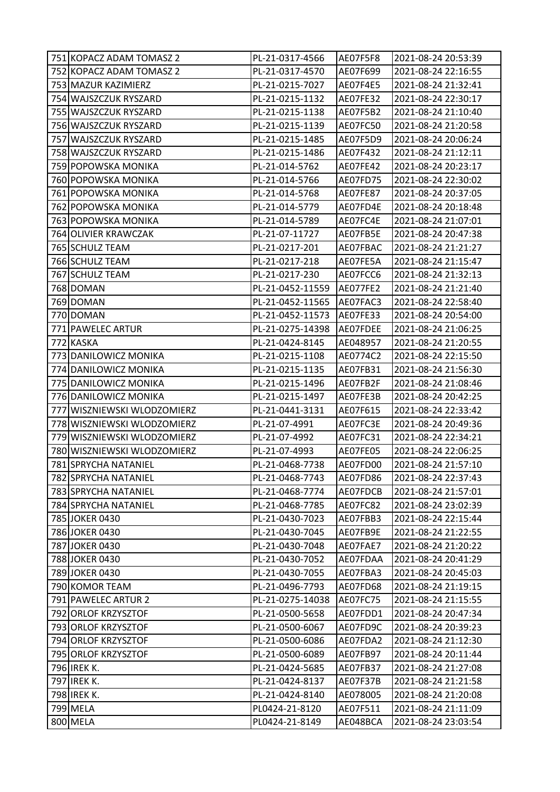| 751 KOPACZ ADAM TOMASZ 2    | PL-21-0317-4566  | AE07F5F8 | 2021-08-24 20:53:39 |
|-----------------------------|------------------|----------|---------------------|
| 752 KOPACZ ADAM TOMASZ 2    | PL-21-0317-4570  | AE07F699 | 2021-08-24 22:16:55 |
| 753 MAZUR KAZIMIERZ         | PL-21-0215-7027  | AE07F4E5 | 2021-08-24 21:32:41 |
| 754 WAJSZCZUK RYSZARD       | PL-21-0215-1132  | AE07FE32 | 2021-08-24 22:30:17 |
| 755 WAJSZCZUK RYSZARD       | PL-21-0215-1138  | AE07F5B2 | 2021-08-24 21:10:40 |
| 756 WAJSZCZUK RYSZARD       | PL-21-0215-1139  | AE07FC50 | 2021-08-24 21:20:58 |
| 757 WAJSZCZUK RYSZARD       | PL-21-0215-1485  | AE07F5D9 | 2021-08-24 20:06:24 |
| 758 WAJSZCZUK RYSZARD       | PL-21-0215-1486  | AE07F432 | 2021-08-24 21:12:11 |
| 759 POPOWSKA MONIKA         | PL-21-014-5762   | AE07FE42 | 2021-08-24 20:23:17 |
| 760 POPOWSKA MONIKA         | PL-21-014-5766   | AE07FD75 | 2021-08-24 22:30:02 |
| 761 POPOWSKA MONIKA         | PL-21-014-5768   | AE07FE87 | 2021-08-24 20:37:05 |
| 762 POPOWSKA MONIKA         | PL-21-014-5779   | AE07FD4E | 2021-08-24 20:18:48 |
| 763 POPOWSKA MONIKA         | PL-21-014-5789   | AE07FC4E | 2021-08-24 21:07:01 |
| 764 OLIVIER KRAWCZAK        | PL-21-07-11727   | AE07FB5E | 2021-08-24 20:47:38 |
| 765 SCHULZ TEAM             | PL-21-0217-201   | AE07FBAC | 2021-08-24 21:21:27 |
| 766 SCHULZ TEAM             | PL-21-0217-218   | AE07FE5A | 2021-08-24 21:15:47 |
| 767 SCHULZ TEAM             | PL-21-0217-230   | AE07FCC6 | 2021-08-24 21:32:13 |
| 768 DOMAN                   | PL-21-0452-11559 | AE077FE2 | 2021-08-24 21:21:40 |
| 769 DOMAN                   | PL-21-0452-11565 | AE07FAC3 | 2021-08-24 22:58:40 |
| 770 DOMAN                   | PL-21-0452-11573 | AE07FE33 | 2021-08-24 20:54:00 |
| 771 PAWELEC ARTUR           | PL-21-0275-14398 | AE07FDEE | 2021-08-24 21:06:25 |
| 772 KASKA                   | PL-21-0424-8145  | AE048957 | 2021-08-24 21:20:55 |
| 773 DANILOWICZ MONIKA       | PL-21-0215-1108  | AE0774C2 | 2021-08-24 22:15:50 |
| 774 DANILOWICZ MONIKA       | PL-21-0215-1135  | AE07FB31 | 2021-08-24 21:56:30 |
| 775 DANILOWICZ MONIKA       | PL-21-0215-1496  | AE07FB2F | 2021-08-24 21:08:46 |
| 776 DANILOWICZ MONIKA       | PL-21-0215-1497  | AE07FE3B | 2021-08-24 20:42:25 |
| 777 WISZNIEWSKI WLODZOMIERZ | PL-21-0441-3131  | AE07F615 | 2021-08-24 22:33:42 |
| 778 WISZNIEWSKI WLODZOMIERZ | PL-21-07-4991    | AE07FC3E | 2021-08-24 20:49:36 |
| 779 WISZNIEWSKI WLODZOMIERZ | PL-21-07-4992    | AE07FC31 | 2021-08-24 22:34:21 |
| 780 WISZNIEWSKI WLODZOMIERZ | PL-21-07-4993    | AE07FE05 | 2021-08-24 22:06:25 |
| 781 SPRYCHA NATANIEL        | PL-21-0468-7738  | AE07FD00 | 2021-08-24 21:57:10 |
| 782 SPRYCHA NATANIEL        | PL-21-0468-7743  | AE07FD86 | 2021-08-24 22:37:43 |
| 783 SPRYCHA NATANIEL        | PL-21-0468-7774  | AE07FDCB | 2021-08-24 21:57:01 |
| 784 SPRYCHA NATANIEL        | PL-21-0468-7785  | AE07FC82 | 2021-08-24 23:02:39 |
| 785 JOKER 0430              | PL-21-0430-7023  | AE07FBB3 | 2021-08-24 22:15:44 |
| 786 JOKER 0430              | PL-21-0430-7045  | AE07FB9E | 2021-08-24 21:22:55 |
| 787 JOKER 0430              | PL-21-0430-7048  | AE07FAE7 | 2021-08-24 21:20:22 |
| 788 JOKER 0430              | PL-21-0430-7052  | AE07FDAA | 2021-08-24 20:41:29 |
| 789 JOKER 0430              | PL-21-0430-7055  | AE07FBA3 | 2021-08-24 20:45:03 |
| 790 KOMOR TEAM              | PL-21-0496-7793  | AE07FD68 | 2021-08-24 21:19:15 |
| 791 PAWELEC ARTUR 2         | PL-21-0275-14038 | AE07FC75 | 2021-08-24 21:15:55 |
| 792 ORLOF KRZYSZTOF         | PL-21-0500-5658  | AE07FDD1 | 2021-08-24 20:47:34 |
| 793 ORLOF KRZYSZTOF         | PL-21-0500-6067  | AE07FD9C | 2021-08-24 20:39:23 |
| 794 ORLOF KRZYSZTOF         | PL-21-0500-6086  | AE07FDA2 | 2021-08-24 21:12:30 |
| 795 ORLOF KRZYSZTOF         | PL-21-0500-6089  | AE07FB97 | 2021-08-24 20:11:44 |
| 796 <b>IREK K.</b>          | PL-21-0424-5685  | AE07FB37 | 2021-08-24 21:27:08 |
| 797 <b>IREK K.</b>          | PL-21-0424-8137  | AE07F37B | 2021-08-24 21:21:58 |
| 798 <b>IREK K.</b>          | PL-21-0424-8140  | AE078005 | 2021-08-24 21:20:08 |
| 799 MELA                    | PL0424-21-8120   | AE07F511 | 2021-08-24 21:11:09 |
| 800 MELA                    | PL0424-21-8149   | AE048BCA | 2021-08-24 23:03:54 |